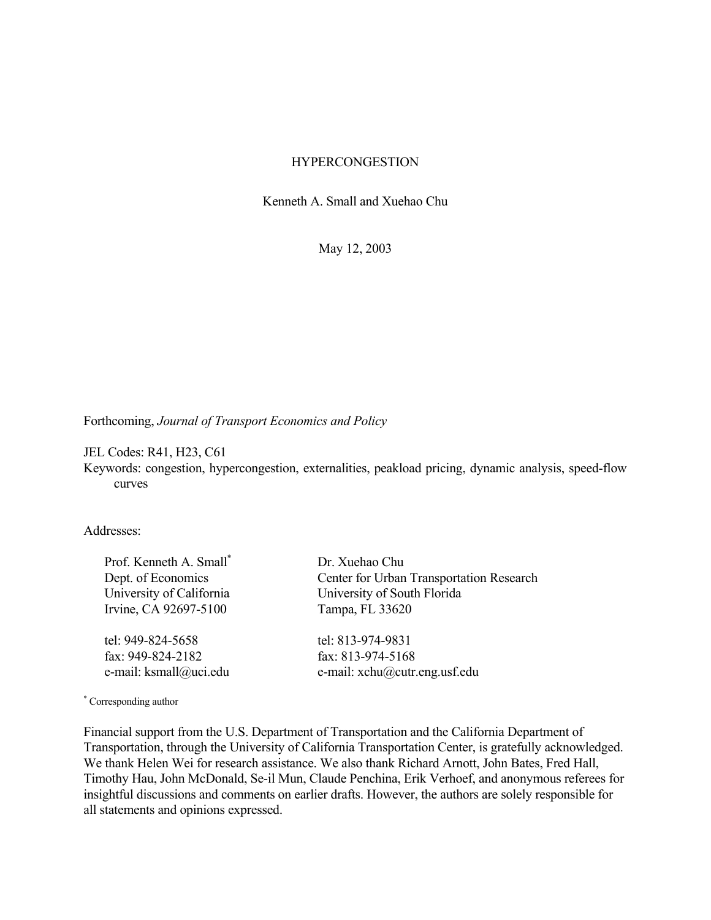### **HYPERCONGESTION**

Kenneth A. Small and Xuehao Chu

May 12, 2003

Forthcoming, *Journal of Transport Economics and Policy*

JEL Codes: R41, H23, C61

Keywords: congestion, hypercongestion, externalities, peakload pricing, dynamic analysis, speed-flow curves

Addresses:

Prof. Kenneth A. Small\* Dept. of Economics University of California Irvine, CA 92697-5100

tel: 949-824-5658 fax: 949-824-2182 e-mail: ksmall@uci.edu Dr. Xuehao Chu Center for Urban Transportation Research University of South Florida Tampa, FL 33620

tel: 813-974-9831 fax: 813-974-5168 e-mail: xchu@cutr.eng.usf.edu

\* Corresponding author

Financial support from the U.S. Department of Transportation and the California Department of Transportation, through the University of California Transportation Center, is gratefully acknowledged. We thank Helen Wei for research assistance. We also thank Richard Arnott, John Bates, Fred Hall, Timothy Hau, John McDonald, Se-il Mun, Claude Penchina, Erik Verhoef, and anonymous referees for insightful discussions and comments on earlier drafts. However, the authors are solely responsible for all statements and opinions expressed.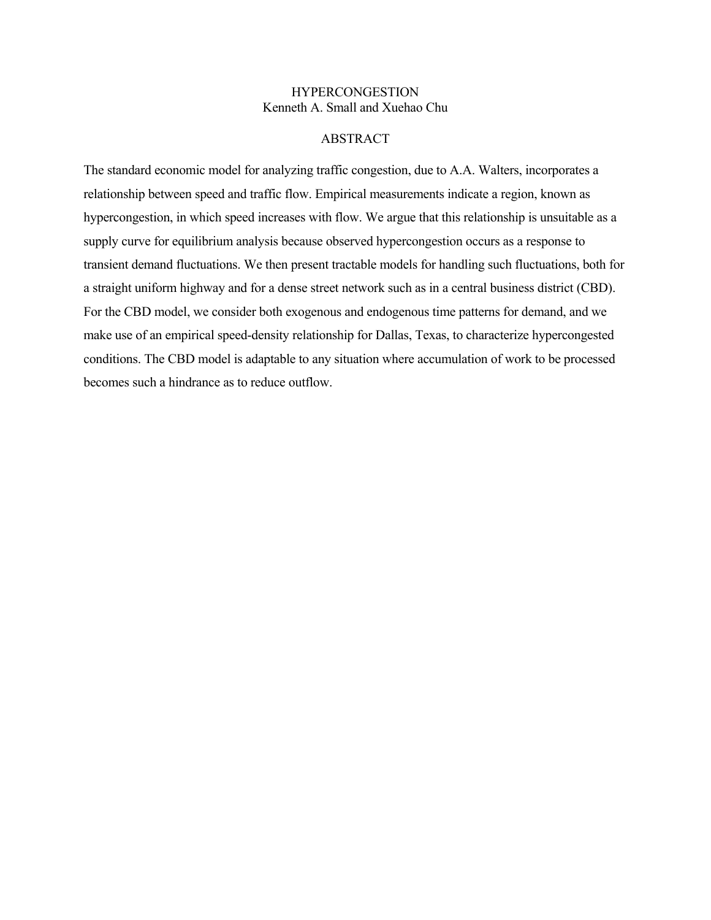# **HYPERCONGESTION** Kenneth A. Small and Xuehao Chu

### ABSTRACT

The standard economic model for analyzing traffic congestion, due to A.A. Walters, incorporates a relationship between speed and traffic flow. Empirical measurements indicate a region, known as hypercongestion, in which speed increases with flow. We argue that this relationship is unsuitable as a supply curve for equilibrium analysis because observed hypercongestion occurs as a response to transient demand fluctuations. We then present tractable models for handling such fluctuations, both for a straight uniform highway and for a dense street network such as in a central business district (CBD). For the CBD model, we consider both exogenous and endogenous time patterns for demand, and we make use of an empirical speed-density relationship for Dallas, Texas, to characterize hypercongested conditions. The CBD model is adaptable to any situation where accumulation of work to be processed becomes such a hindrance as to reduce outflow.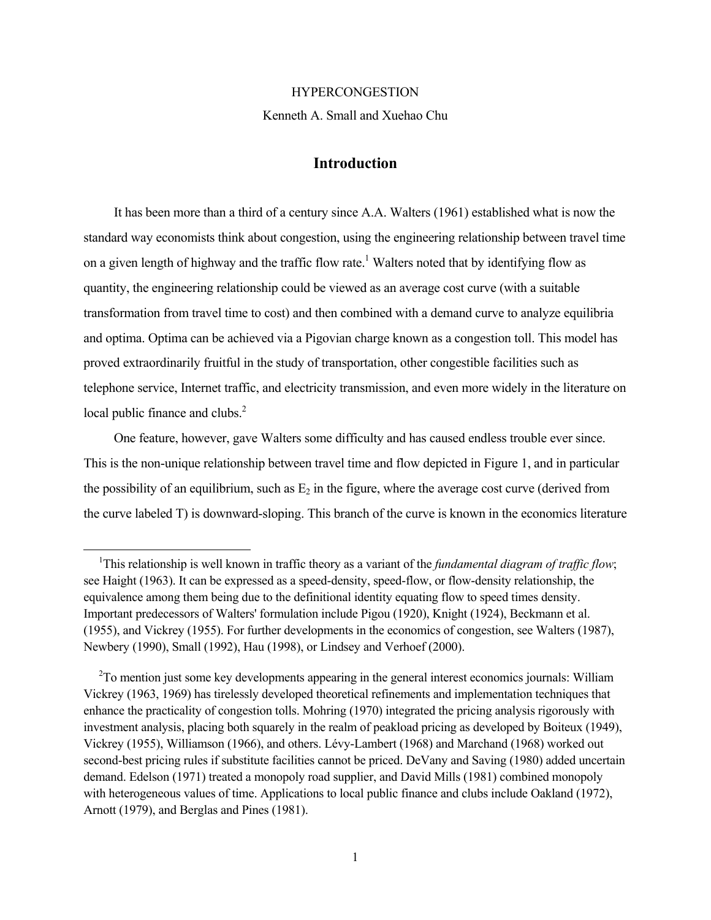#### HYPERCONGESTION

Kenneth A. Small and Xuehao Chu

# **Introduction**

 It has been more than a third of a century since A.A. Walters (1961) established what is now the standard way economists think about congestion, using the engineering relationship between travel time on a given length of highway and the traffic flow rate.<sup>1</sup> Walters noted that by identifying flow as quantity, the engineering relationship could be viewed as an average cost curve (with a suitable transformation from travel time to cost) and then combined with a demand curve to analyze equilibria and optima. Optima can be achieved via a Pigovian charge known as a congestion toll. This model has proved extraordinarily fruitful in the study of transportation, other congestible facilities such as telephone service, Internet traffic, and electricity transmission, and even more widely in the literature on local public finance and clubs.<sup>2</sup>

 One feature, however, gave Walters some difficulty and has caused endless trouble ever since. This is the non-unique relationship between travel time and flow depicted in Figure 1, and in particular the possibility of an equilibrium, such as  $E_2$  in the figure, where the average cost curve (derived from the curve labeled T) is downward-sloping. This branch of the curve is known in the economics literature

 $\overline{a}$ 

<sup>&</sup>lt;sup>1</sup>This relationship is well known in traffic theory as a variant of the *fundamental diagram of traffic flow*; see Haight (1963). It can be expressed as a speed-density, speed-flow, or flow-density relationship, the equivalence among them being due to the definitional identity equating flow to speed times density. Important predecessors of Walters' formulation include Pigou (1920), Knight (1924), Beckmann et al. (1955), and Vickrey (1955). For further developments in the economics of congestion, see Walters (1987), Newbery (1990), Small (1992), Hau (1998), or Lindsey and Verhoef (2000).

<sup>&</sup>lt;sup>2</sup>To mention just some key developments appearing in the general interest economics journals: William Vickrey (1963, 1969) has tirelessly developed theoretical refinements and implementation techniques that enhance the practicality of congestion tolls. Mohring (1970) integrated the pricing analysis rigorously with investment analysis, placing both squarely in the realm of peakload pricing as developed by Boiteux (1949), Vickrey (1955), Williamson (1966), and others. Lévy-Lambert (1968) and Marchand (1968) worked out second-best pricing rules if substitute facilities cannot be priced. DeVany and Saving (1980) added uncertain demand. Edelson (1971) treated a monopoly road supplier, and David Mills (1981) combined monopoly with heterogeneous values of time. Applications to local public finance and clubs include Oakland (1972), Arnott (1979), and Berglas and Pines (1981).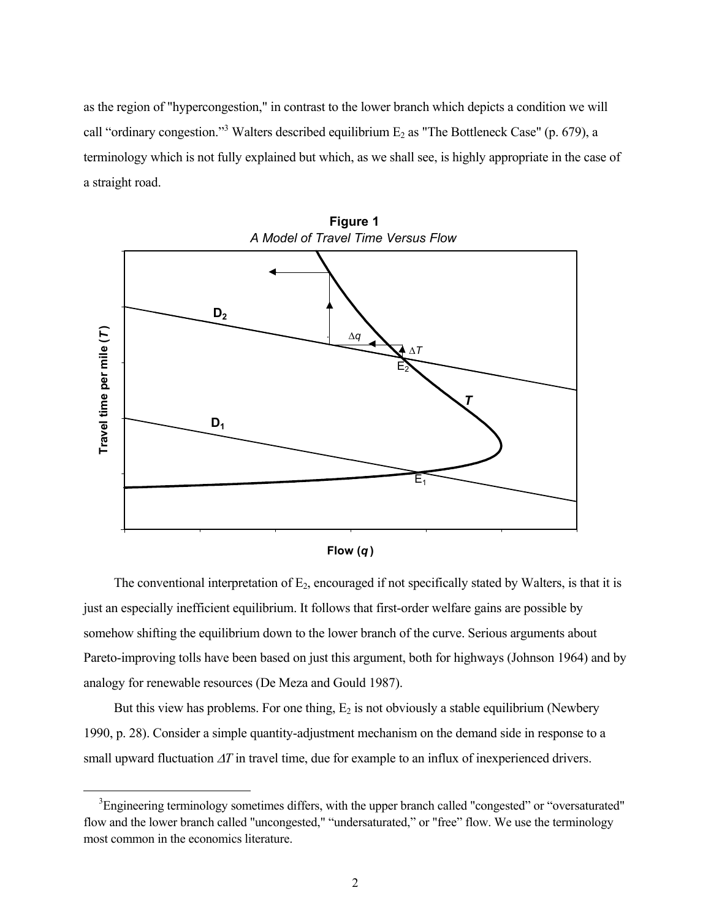as the region of "hypercongestion," in contrast to the lower branch which depicts a condition we will call "ordinary congestion."<sup>3</sup> Walters described equilibrium  $E_2$  as "The Bottleneck Case" (p. 679), a terminology which is not fully explained but which, as we shall see, is highly appropriate in the case of a straight road.



**Figure 1** *A Model of Travel Time Versus Flow*



The conventional interpretation of  $E_2$ , encouraged if not specifically stated by Walters, is that it is just an especially inefficient equilibrium. It follows that first-order welfare gains are possible by somehow shifting the equilibrium down to the lower branch of the curve. Serious arguments about Pareto-improving tolls have been based on just this argument, both for highways (Johnson 1964) and by analogy for renewable resources (De Meza and Gould 1987).

But this view has problems. For one thing,  $E_2$  is not obviously a stable equilibrium (Newbery 1990, p. 28). Consider a simple quantity-adjustment mechanism on the demand side in response to a small upward fluctuation ∆*T* in travel time, due for example to an influx of inexperienced drivers.

 $\overline{a}$ 

<sup>&</sup>lt;sup>3</sup>Engineering terminology sometimes differs, with the upper branch called "congested" or "oversaturated" flow and the lower branch called "uncongested," "undersaturated," or "free" flow. We use the terminology most common in the economics literature.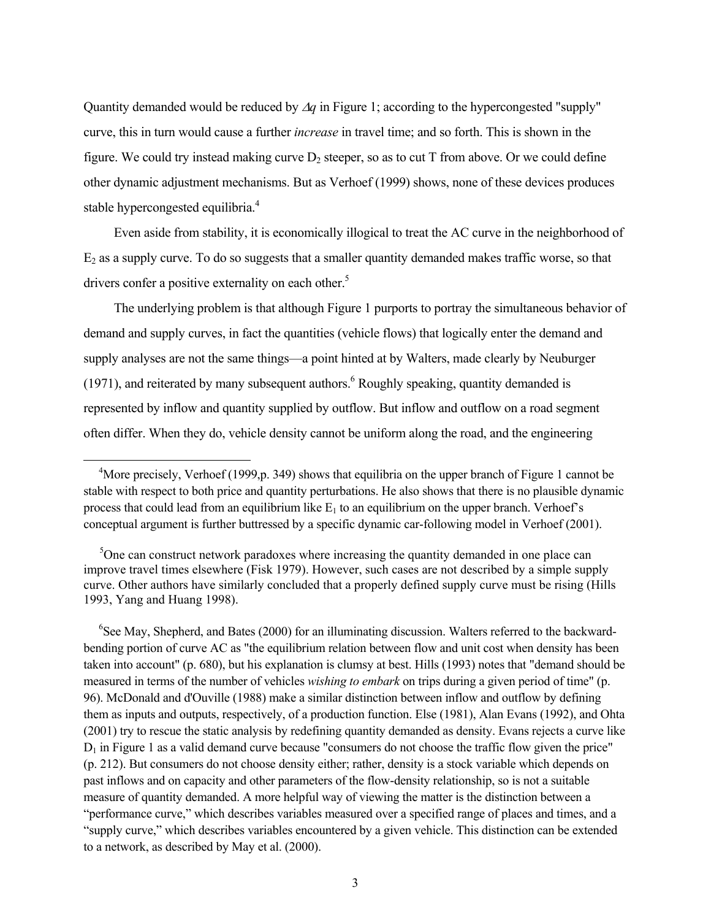Quantity demanded would be reduced by ∆*q* in Figure 1; according to the hypercongested "supply" curve, this in turn would cause a further *increase* in travel time; and so forth. This is shown in the figure. We could try instead making curve  $D_2$  steeper, so as to cut T from above. Or we could define other dynamic adjustment mechanisms. But as Verhoef (1999) shows, none of these devices produces stable hypercongested equilibria.<sup>4</sup>

 Even aside from stability, it is economically illogical to treat the AC curve in the neighborhood of  $E<sub>2</sub>$  as a supply curve. To do so suggests that a smaller quantity demanded makes traffic worse, so that drivers confer a positive externality on each other.<sup>5</sup>

 The underlying problem is that although Figure 1 purports to portray the simultaneous behavior of demand and supply curves, in fact the quantities (vehicle flows) that logically enter the demand and supply analyses are not the same things—a point hinted at by Walters, made clearly by Neuburger  $(1971)$ , and reiterated by many subsequent authors.<sup>6</sup> Roughly speaking, quantity demanded is represented by inflow and quantity supplied by outflow. But inflow and outflow on a road segment often differ. When they do, vehicle density cannot be uniform along the road, and the engineering

 $\overline{a}$ 

<sup>6</sup>See May, Shepherd, and Bates (2000) for an illuminating discussion. Walters referred to the backwardbending portion of curve AC as "the equilibrium relation between flow and unit cost when density has been taken into account" (p. 680), but his explanation is clumsy at best. Hills (1993) notes that "demand should be measured in terms of the number of vehicles *wishing to embark* on trips during a given period of time" (p. 96). McDonald and d'Ouville (1988) make a similar distinction between inflow and outflow by defining them as inputs and outputs, respectively, of a production function. Else (1981), Alan Evans (1992), and Ohta (2001) try to rescue the static analysis by redefining quantity demanded as density. Evans rejects a curve like  $D_1$  in Figure 1 as a valid demand curve because "consumers do not choose the traffic flow given the price" (p. 212). But consumers do not choose density either; rather, density is a stock variable which depends on past inflows and on capacity and other parameters of the flow-density relationship, so is not a suitable measure of quantity demanded. A more helpful way of viewing the matter is the distinction between a "performance curve," which describes variables measured over a specified range of places and times, and a "supply curve," which describes variables encountered by a given vehicle. This distinction can be extended to a network, as described by May et al. (2000).

<sup>&</sup>lt;sup>4</sup>More precisely, Verhoef (1999,p. 349) shows that equilibria on the upper branch of Figure 1 cannot be stable with respect to both price and quantity perturbations. He also shows that there is no plausible dynamic process that could lead from an equilibrium like  $E_1$  to an equilibrium on the upper branch. Verhoef's conceptual argument is further buttressed by a specific dynamic car-following model in Verhoef (2001).

<sup>&</sup>lt;sup>5</sup>One can construct network paradoxes where increasing the quantity demanded in one place can improve travel times elsewhere (Fisk 1979). However, such cases are not described by a simple supply curve. Other authors have similarly concluded that a properly defined supply curve must be rising (Hills 1993, Yang and Huang 1998).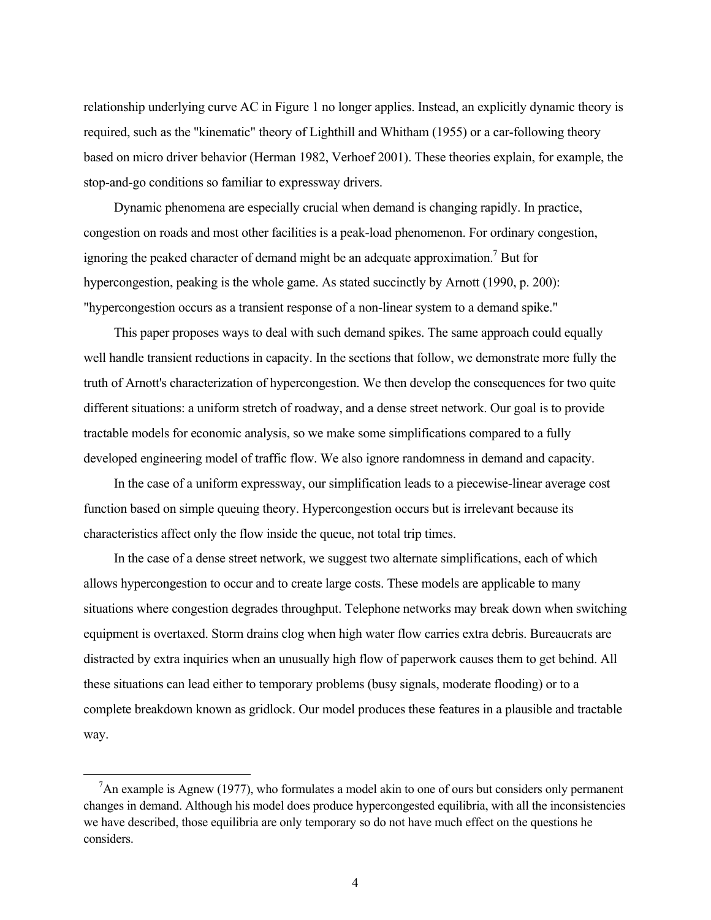relationship underlying curve AC in Figure 1 no longer applies. Instead, an explicitly dynamic theory is required, such as the "kinematic" theory of Lighthill and Whitham (1955) or a car-following theory based on micro driver behavior (Herman 1982, Verhoef 2001). These theories explain, for example, the stop-and-go conditions so familiar to expressway drivers.

 Dynamic phenomena are especially crucial when demand is changing rapidly. In practice, congestion on roads and most other facilities is a peak-load phenomenon. For ordinary congestion, ignoring the peaked character of demand might be an adequate approximation.<sup>7</sup> But for hypercongestion, peaking is the whole game. As stated succinctly by Arnott (1990, p. 200): "hypercongestion occurs as a transient response of a non-linear system to a demand spike."

 This paper proposes ways to deal with such demand spikes. The same approach could equally well handle transient reductions in capacity. In the sections that follow, we demonstrate more fully the truth of Arnott's characterization of hypercongestion. We then develop the consequences for two quite different situations: a uniform stretch of roadway, and a dense street network. Our goal is to provide tractable models for economic analysis, so we make some simplifications compared to a fully developed engineering model of traffic flow. We also ignore randomness in demand and capacity.

 In the case of a uniform expressway, our simplification leads to a piecewise-linear average cost function based on simple queuing theory. Hypercongestion occurs but is irrelevant because its characteristics affect only the flow inside the queue, not total trip times.

 In the case of a dense street network, we suggest two alternate simplifications, each of which allows hypercongestion to occur and to create large costs. These models are applicable to many situations where congestion degrades throughput. Telephone networks may break down when switching equipment is overtaxed. Storm drains clog when high water flow carries extra debris. Bureaucrats are distracted by extra inquiries when an unusually high flow of paperwork causes them to get behind. All these situations can lead either to temporary problems (busy signals, moderate flooding) or to a complete breakdown known as gridlock. Our model produces these features in a plausible and tractable way.

 $\overline{a}$ 

<sup>&</sup>lt;sup>7</sup>An example is Agnew (1977), who formulates a model akin to one of ours but considers only permanent changes in demand. Although his model does produce hypercongested equilibria, with all the inconsistencies we have described, those equilibria are only temporary so do not have much effect on the questions he considers.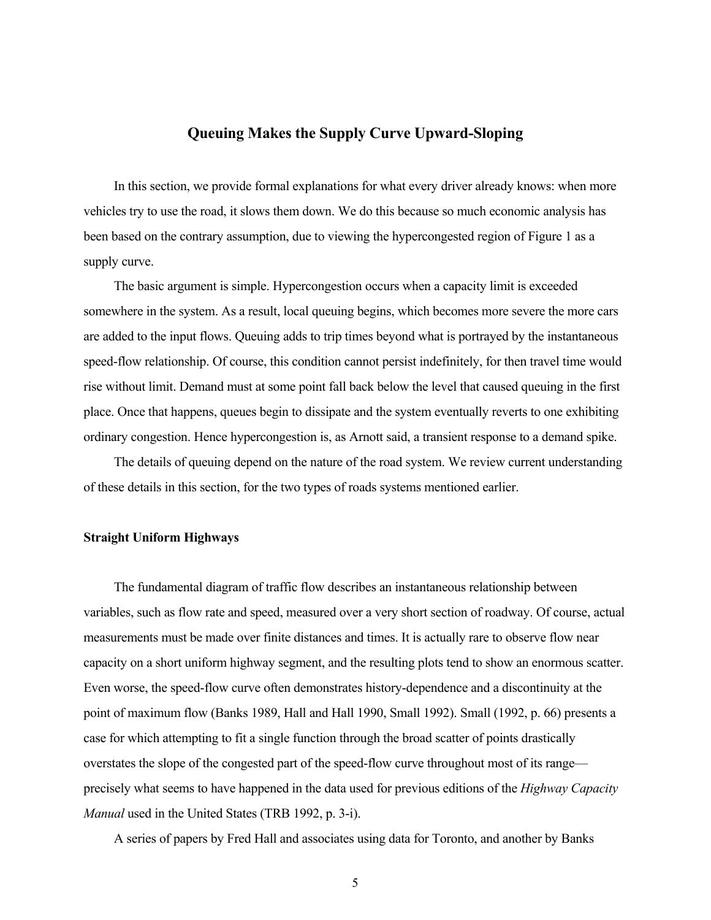# **Queuing Makes the Supply Curve Upward-Sloping**

 In this section, we provide formal explanations for what every driver already knows: when more vehicles try to use the road, it slows them down. We do this because so much economic analysis has been based on the contrary assumption, due to viewing the hypercongested region of Figure 1 as a supply curve.

 The basic argument is simple. Hypercongestion occurs when a capacity limit is exceeded somewhere in the system. As a result, local queuing begins, which becomes more severe the more cars are added to the input flows. Queuing adds to trip times beyond what is portrayed by the instantaneous speed-flow relationship. Of course, this condition cannot persist indefinitely, for then travel time would rise without limit. Demand must at some point fall back below the level that caused queuing in the first place. Once that happens, queues begin to dissipate and the system eventually reverts to one exhibiting ordinary congestion. Hence hypercongestion is, as Arnott said, a transient response to a demand spike.

 The details of queuing depend on the nature of the road system. We review current understanding of these details in this section, for the two types of roads systems mentioned earlier.

## **Straight Uniform Highways**

 The fundamental diagram of traffic flow describes an instantaneous relationship between variables, such as flow rate and speed, measured over a very short section of roadway. Of course, actual measurements must be made over finite distances and times. It is actually rare to observe flow near capacity on a short uniform highway segment, and the resulting plots tend to show an enormous scatter. Even worse, the speed-flow curve often demonstrates history-dependence and a discontinuity at the point of maximum flow (Banks 1989, Hall and Hall 1990, Small 1992). Small (1992, p. 66) presents a case for which attempting to fit a single function through the broad scatter of points drastically overstates the slope of the congested part of the speed-flow curve throughout most of its range precisely what seems to have happened in the data used for previous editions of the *Highway Capacity Manual* used in the United States (TRB 1992, p. 3-i).

A series of papers by Fred Hall and associates using data for Toronto, and another by Banks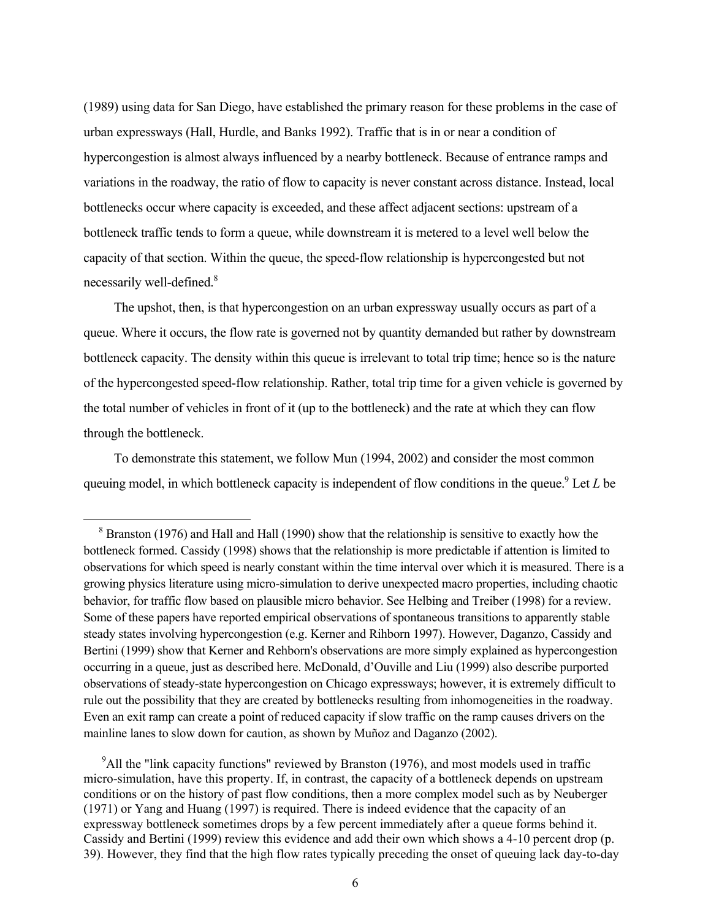(1989) using data for San Diego, have established the primary reason for these problems in the case of urban expressways (Hall, Hurdle, and Banks 1992). Traffic that is in or near a condition of hypercongestion is almost always influenced by a nearby bottleneck. Because of entrance ramps and variations in the roadway, the ratio of flow to capacity is never constant across distance. Instead, local bottlenecks occur where capacity is exceeded, and these affect adjacent sections: upstream of a bottleneck traffic tends to form a queue, while downstream it is metered to a level well below the capacity of that section. Within the queue, the speed-flow relationship is hypercongested but not necessarily well-defined.8

 The upshot, then, is that hypercongestion on an urban expressway usually occurs as part of a queue. Where it occurs, the flow rate is governed not by quantity demanded but rather by downstream bottleneck capacity. The density within this queue is irrelevant to total trip time; hence so is the nature of the hypercongested speed-flow relationship. Rather, total trip time for a given vehicle is governed by the total number of vehicles in front of it (up to the bottleneck) and the rate at which they can flow through the bottleneck.

 To demonstrate this statement, we follow Mun (1994, 2002) and consider the most common queuing model, in which bottleneck capacity is independent of flow conditions in the queue.<sup>9</sup> Let  $L$  be

 $\overline{a}$ 

<sup>9</sup>All the "link capacity functions" reviewed by Branston (1976), and most models used in traffic micro-simulation, have this property. If, in contrast, the capacity of a bottleneck depends on upstream conditions or on the history of past flow conditions, then a more complex model such as by Neuberger (1971) or Yang and Huang (1997) is required. There is indeed evidence that the capacity of an expressway bottleneck sometimes drops by a few percent immediately after a queue forms behind it. Cassidy and Bertini (1999) review this evidence and add their own which shows a 4-10 percent drop (p. 39). However, they find that the high flow rates typically preceding the onset of queuing lack day-to-day

<sup>&</sup>lt;sup>8</sup> Branston (1976) and Hall and Hall (1990) show that the relationship is sensitive to exactly how the bottleneck formed. Cassidy (1998) shows that the relationship is more predictable if attention is limited to observations for which speed is nearly constant within the time interval over which it is measured. There is a growing physics literature using micro-simulation to derive unexpected macro properties, including chaotic behavior, for traffic flow based on plausible micro behavior. See Helbing and Treiber (1998) for a review. Some of these papers have reported empirical observations of spontaneous transitions to apparently stable steady states involving hypercongestion (e.g. Kerner and Rihborn 1997). However, Daganzo, Cassidy and Bertini (1999) show that Kerner and Rehborn's observations are more simply explained as hypercongestion occurring in a queue, just as described here. McDonald, d'Ouville and Liu (1999) also describe purported observations of steady-state hypercongestion on Chicago expressways; however, it is extremely difficult to rule out the possibility that they are created by bottlenecks resulting from inhomogeneities in the roadway. Even an exit ramp can create a point of reduced capacity if slow traffic on the ramp causes drivers on the mainline lanes to slow down for caution, as shown by Muñoz and Daganzo (2002).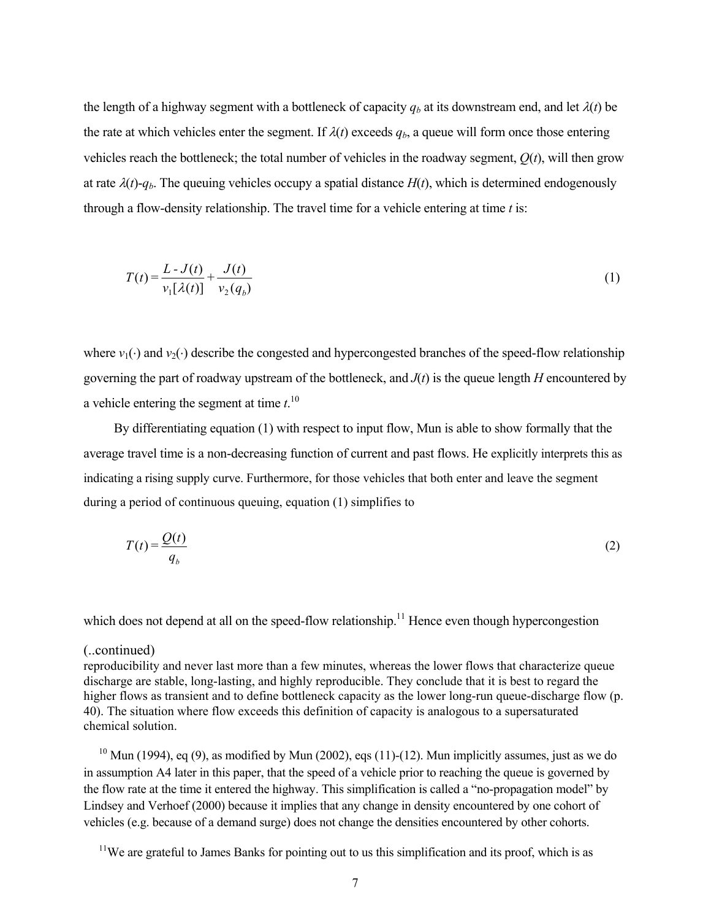the length of a highway segment with a bottleneck of capacity  $q_b$  at its downstream end, and let  $\lambda(t)$  be the rate at which vehicles enter the segment. If  $\lambda(t)$  exceeds  $q_b$ , a queue will form once those entering vehicles reach the bottleneck; the total number of vehicles in the roadway segment, *Q*(*t*), will then grow at rate  $\lambda(t)$ - $q_b$ . The queuing vehicles occupy a spatial distance  $H(t)$ , which is determined endogenously through a flow-density relationship. The travel time for a vehicle entering at time *t* is:

$$
T(t) = \frac{L - J(t)}{v_1[\lambda(t)]} + \frac{J(t)}{v_2(q_b)}
$$
(1)

where  $v_1(\cdot)$  and  $v_2(\cdot)$  describe the congested and hypercongested branches of the speed-flow relationship governing the part of roadway upstream of the bottleneck, and *J*(*t*) is the queue length *H* encountered by a vehicle entering the segment at time  $t$ <sup>10</sup>

 By differentiating equation (1) with respect to input flow, Mun is able to show formally that the average travel time is a non-decreasing function of current and past flows. He explicitly interprets this as indicating a rising supply curve. Furthermore, for those vehicles that both enter and leave the segment during a period of continuous queuing, equation (1) simplifies to

$$
T(t) = \frac{Q(t)}{q_b} \tag{2}
$$

which does not depend at all on the speed-flow relationship.<sup>11</sup> Hence even though hypercongestion

# (..continued)

reproducibility and never last more than a few minutes, whereas the lower flows that characterize queue discharge are stable, long-lasting, and highly reproducible. They conclude that it is best to regard the higher flows as transient and to define bottleneck capacity as the lower long-run queue-discharge flow (p. 40). The situation where flow exceeds this definition of capacity is analogous to a supersaturated chemical solution.

 $10$  Mun (1994), eq (9), as modified by Mun (2002), eqs (11)-(12). Mun implicitly assumes, just as we do in assumption A4 later in this paper, that the speed of a vehicle prior to reaching the queue is governed by the flow rate at the time it entered the highway. This simplification is called a "no-propagation model" by Lindsey and Verhoef (2000) because it implies that any change in density encountered by one cohort of vehicles (e.g. because of a demand surge) does not change the densities encountered by other cohorts.

 $11$ We are grateful to James Banks for pointing out to us this simplification and its proof, which is as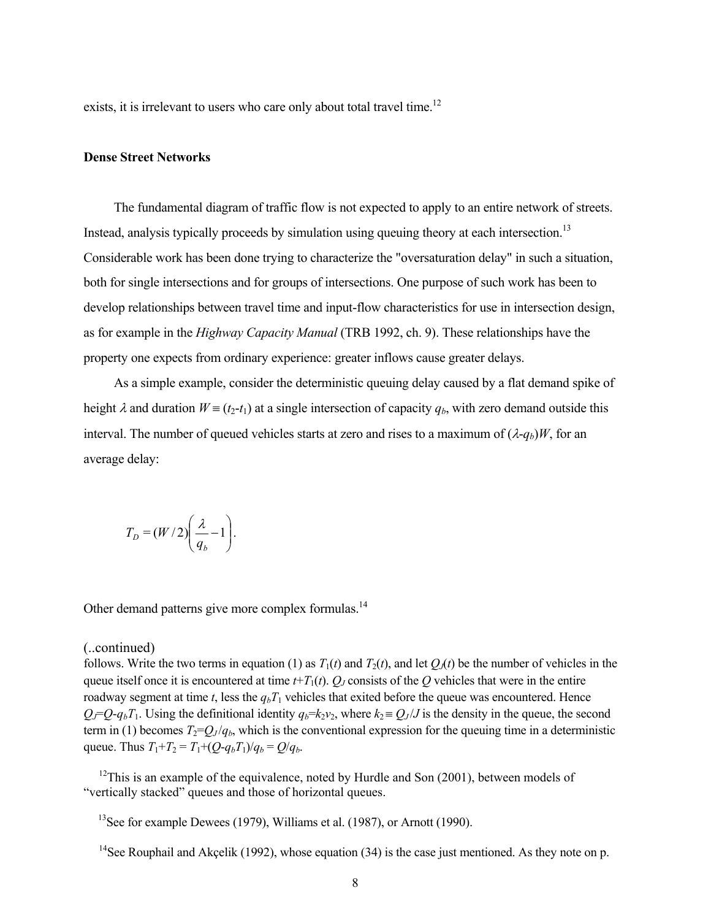exists, it is irrelevant to users who care only about total travel time.<sup>12</sup>

### **Dense Street Networks**

 The fundamental diagram of traffic flow is not expected to apply to an entire network of streets. Instead, analysis typically proceeds by simulation using queuing theory at each intersection.<sup>13</sup> Considerable work has been done trying to characterize the "oversaturation delay" in such a situation, both for single intersections and for groups of intersections. One purpose of such work has been to develop relationships between travel time and input-flow characteristics for use in intersection design, as for example in the *Highway Capacity Manual* (TRB 1992, ch. 9). These relationships have the property one expects from ordinary experience: greater inflows cause greater delays.

 As a simple example, consider the deterministic queuing delay caused by a flat demand spike of height  $\lambda$  and duration  $W = (t_2 - t_1)$  at a single intersection of capacity  $q_b$ , with zero demand outside this interval. The number of queued vehicles starts at zero and rises to a maximum of  $(\lambda - q_b)W$ , for an average delay:

$$
T_D = (W/2) \left(\frac{\lambda}{q_b} - 1\right).
$$

Other demand patterns give more complex formulas.<sup>14</sup>

### (..continued)

follows. Write the two terms in equation (1) as  $T_1(t)$  and  $T_2(t)$ , and let  $Q_1(t)$  be the number of vehicles in the queue itself once it is encountered at time  $t+T_1(t)$ .  $Q_J$  consists of the  $Q$  vehicles that were in the entire roadway segment at time  $t$ , less the  $q_bT_1$  vehicles that exited before the queue was encountered. Hence  $Q_i = Q_i - q_bT_1$ . Using the definitional identity  $q_b = k_2v_2$ , where  $k_2 = Q_j / J$  is the density in the queue, the second term in (1) becomes  $T_2 = Q_J/q_b$ , which is the conventional expression for the queuing time in a deterministic queue. Thus  $T_1 + T_2 = T_1 + (Q - q_b T_1)/q_b = Q/q_b$ .

 $12$ This is an example of the equivalence, noted by Hurdle and Son (2001), between models of "vertically stacked" queues and those of horizontal queues.

<sup>13</sup>See for example Dewees (1979), Williams et al. (1987), or Arnott (1990).

<sup>&</sup>lt;sup>14</sup>See Rouphail and Akçelik (1992), whose equation (34) is the case just mentioned. As they note on p.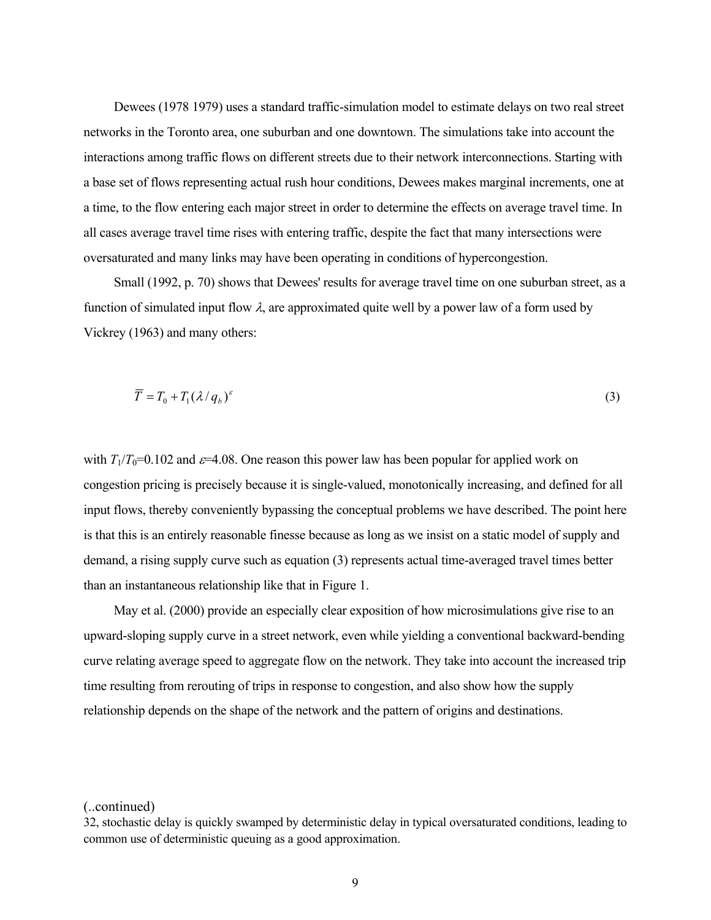Dewees (1978 1979) uses a standard traffic-simulation model to estimate delays on two real street networks in the Toronto area, one suburban and one downtown. The simulations take into account the interactions among traffic flows on different streets due to their network interconnections. Starting with a base set of flows representing actual rush hour conditions, Dewees makes marginal increments, one at a time, to the flow entering each major street in order to determine the effects on average travel time. In all cases average travel time rises with entering traffic, despite the fact that many intersections were oversaturated and many links may have been operating in conditions of hypercongestion.

 Small (1992, p. 70) shows that Dewees' results for average travel time on one suburban street, as a function of simulated input flow  $\lambda$ , are approximated quite well by a power law of a form used by Vickrey (1963) and many others:

$$
\overline{T} = T_0 + T_1 (\lambda / q_b)^{\varepsilon} \tag{3}
$$

with  $T_1/T_0=0.102$  and  $\varepsilon=4.08$ . One reason this power law has been popular for applied work on congestion pricing is precisely because it is single-valued, monotonically increasing, and defined for all input flows, thereby conveniently bypassing the conceptual problems we have described. The point here is that this is an entirely reasonable finesse because as long as we insist on a static model of supply and demand, a rising supply curve such as equation (3) represents actual time-averaged travel times better than an instantaneous relationship like that in Figure 1.

 May et al. (2000) provide an especially clear exposition of how microsimulations give rise to an upward-sloping supply curve in a street network, even while yielding a conventional backward-bending curve relating average speed to aggregate flow on the network. They take into account the increased trip time resulting from rerouting of trips in response to congestion, and also show how the supply relationship depends on the shape of the network and the pattern of origins and destinations.

<sup>(..</sup>continued)

<sup>32,</sup> stochastic delay is quickly swamped by deterministic delay in typical oversaturated conditions, leading to common use of deterministic queuing as a good approximation.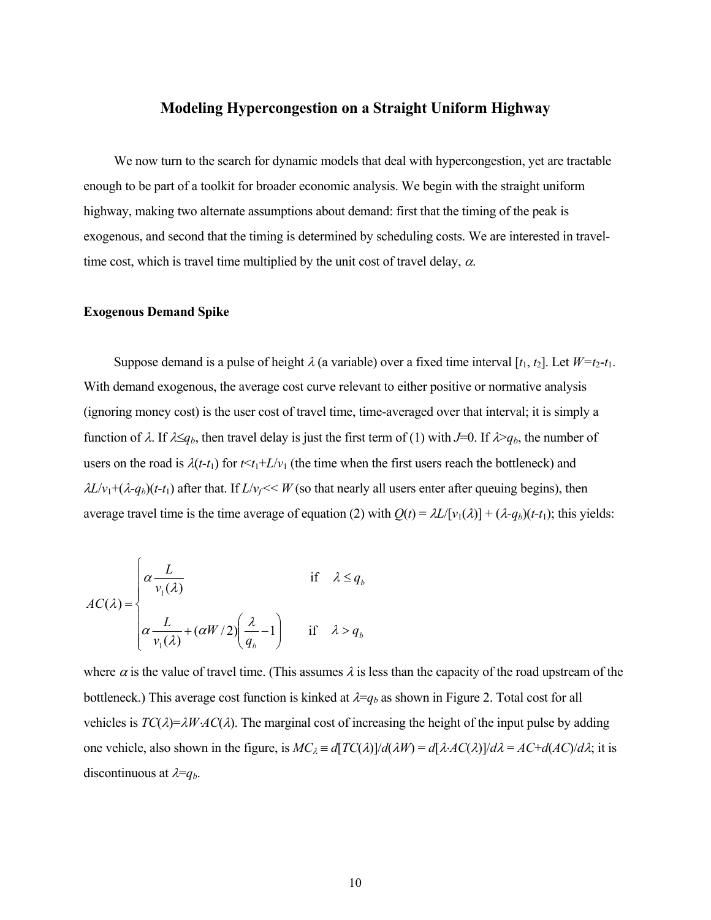# **Modeling Hypercongestion on a Straight Uniform Highway**

We now turn to the search for dynamic models that deal with hypercongestion, yet are tractable enough to be part of a toolkit for broader economic analysis. We begin with the straight uniform highway, making two alternate assumptions about demand: first that the timing of the peak is exogenous, and second that the timing is determined by scheduling costs. We are interested in traveltime cost, which is travel time multiplied by the unit cost of travel delay,  $\alpha$ .

#### **Exogenous Demand Spike**

Suppose demand is a pulse of height  $\lambda$  (a variable) over a fixed time interval [ $t_1$ ,  $t_2$ ]. Let  $W=t_2-t_1$ . With demand exogenous, the average cost curve relevant to either positive or normative analysis (ignoring money cost) is the user cost of travel time, time-averaged over that interval; it is simply a function of  $\lambda$ . If  $\lambda \leq q_b$ , then travel delay is just the first term of (1) with *J*=0. If  $\lambda > q_b$ , the number of users on the road is  $\lambda(t-t_1)$  for  $t \le t_1 + L/v_1$  (the time when the first users reach the bottleneck) and  $\lambda L/v_1 + (\lambda - q_b)(t-t_1)$  after that. If  $L/v_f \ll W$  (so that nearly all users enter after queuing begins), then average travel time is the time average of equation (2) with  $Q(t) = \lambda L/[v_1(\lambda)] + (\lambda - q_b)(t - t_1)$ ; this yields:

$$
AC(\lambda) = \begin{cases} \alpha \frac{L}{v_1(\lambda)} & \text{if } \lambda \le q_b \\ \alpha \frac{L}{v_1(\lambda)} + (\alpha W/2) \left(\frac{\lambda}{q_b} - 1\right) & \text{if } \lambda > q_b \end{cases}
$$

where  $\alpha$  is the value of travel time. (This assumes  $\lambda$  is less than the capacity of the road upstream of the bottleneck.) This average cost function is kinked at  $\lambda = q_b$  as shown in Figure 2. Total cost for all vehicles is  $TC(\lambda) = \lambda W \cdot AC(\lambda)$ . The marginal cost of increasing the height of the input pulse by adding one vehicle, also shown in the figure, is  $MC_\lambda = d\left[\frac{TC(\lambda)}{d\lambda} - \frac{d\left[\lambda \cdot AC(\lambda)\right]}{d\lambda} = AC + d\left(\frac{AC}{d\lambda} \cdot \text{it}\right)$  it is discontinuous at  $\lambda = q_b$ .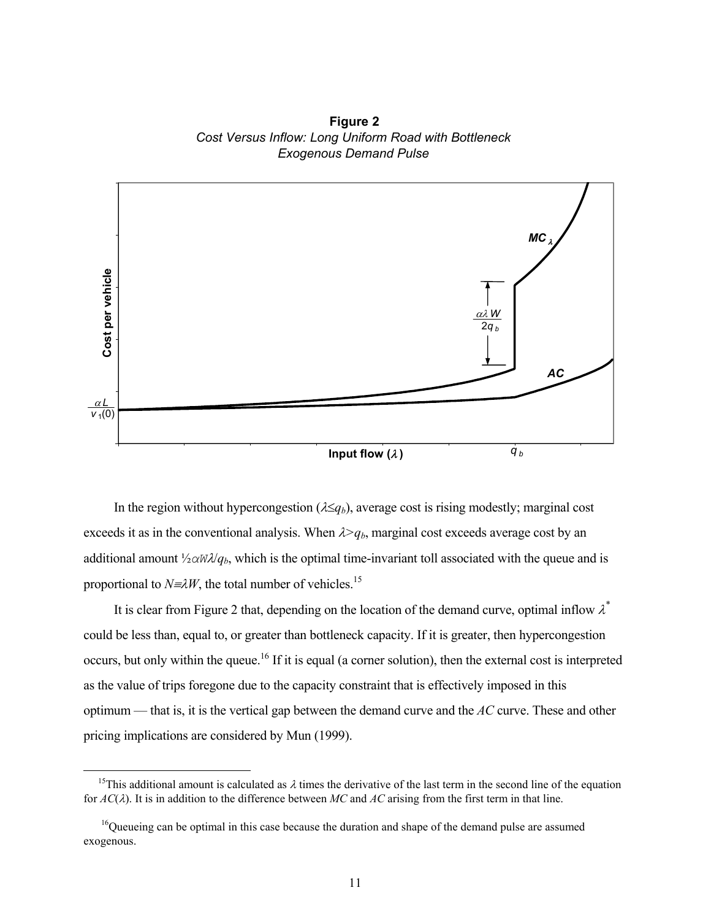**Figure 2** *Cost Versus Inflow: Long Uniform Road with Bottleneck Exogenous Demand Pulse*



In the region without hypercongestion ( $\lambda \leq q_b$ ), average cost is rising modestly; marginal cost exceeds it as in the conventional analysis. When  $\lambda > q_b$ , marginal cost exceeds average cost by an additional amount  $\frac{1}{2}aW\lambda/q_b$ , which is the optimal time-invariant toll associated with the queue and is proportional to  $N \equiv \lambda W$ , the total number of vehicles.<sup>15</sup>

It is clear from Figure 2 that, depending on the location of the demand curve, optimal inflow  $\lambda^*$ could be less than, equal to, or greater than bottleneck capacity. If it is greater, then hypercongestion occurs, but only within the queue.<sup>16</sup> If it is equal (a corner solution), then the external cost is interpreted as the value of trips foregone due to the capacity constraint that is effectively imposed in this optimum — that is, it is the vertical gap between the demand curve and the *AC* curve. These and other pricing implications are considered by Mun (1999).

 $\overline{a}$ 

<sup>&</sup>lt;sup>15</sup>This additional amount is calculated as  $\lambda$  times the derivative of the last term in the second line of the equation for *AC*(λ). It is in addition to the difference between *MC* and *AC* arising from the first term in that line.

 $16$ Queueing can be optimal in this case because the duration and shape of the demand pulse are assumed exogenous.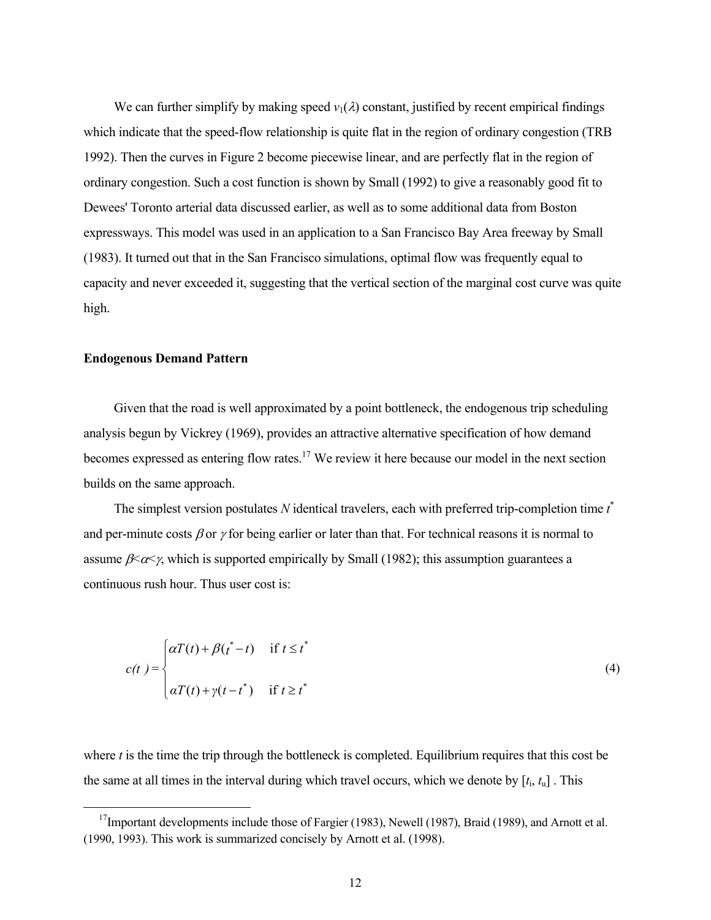We can further simplify by making speed  $v_1(\lambda)$  constant, justified by recent empirical findings which indicate that the speed-flow relationship is quite flat in the region of ordinary congestion (TRB 1992). Then the curves in Figure 2 become piecewise linear, and are perfectly flat in the region of ordinary congestion. Such a cost function is shown by Small (1992) to give a reasonably good fit to Dewees' Toronto arterial data discussed earlier, as well as to some additional data from Boston expressways. This model was used in an application to a San Francisco Bay Area freeway by Small (1983). It turned out that in the San Francisco simulations, optimal flow was frequently equal to capacity and never exceeded it, suggesting that the vertical section of the marginal cost curve was quite high.

### **Endogenous Demand Pattern**

 $\overline{a}$ 

 Given that the road is well approximated by a point bottleneck, the endogenous trip scheduling analysis begun by Vickrey (1969), provides an attractive alternative specification of how demand becomes expressed as entering flow rates.<sup>17</sup> We review it here because our model in the next section builds on the same approach.

The simplest version postulates N identical travelers, each with preferred trip-completion time  $t^*$ and per-minute costs  $\beta$  or  $\gamma$  for being earlier or later than that. For technical reasons it is normal to assume  $\beta \ll \gamma$ , which is supported empirically by Small (1982); this assumption guarantees a continuous rush hour. Thus user cost is:

$$
c(t) = \begin{cases} \alpha T(t) + \beta(t^* - t) & \text{if } t \le t^* \\ \alpha T(t) + \gamma(t - t^*) & \text{if } t \ge t^* \end{cases}
$$
 (4)

where  $t$  is the time the trip through the bottleneck is completed. Equilibrium requires that this cost be the same at all times in the interval during which travel occurs, which we denote by  $[t_i, t_u]$ . This

 $17$ Important developments include those of Fargier (1983), Newell (1987), Braid (1989), and Arnott et al. (1990, 1993). This work is summarized concisely by Arnott et al. (1998).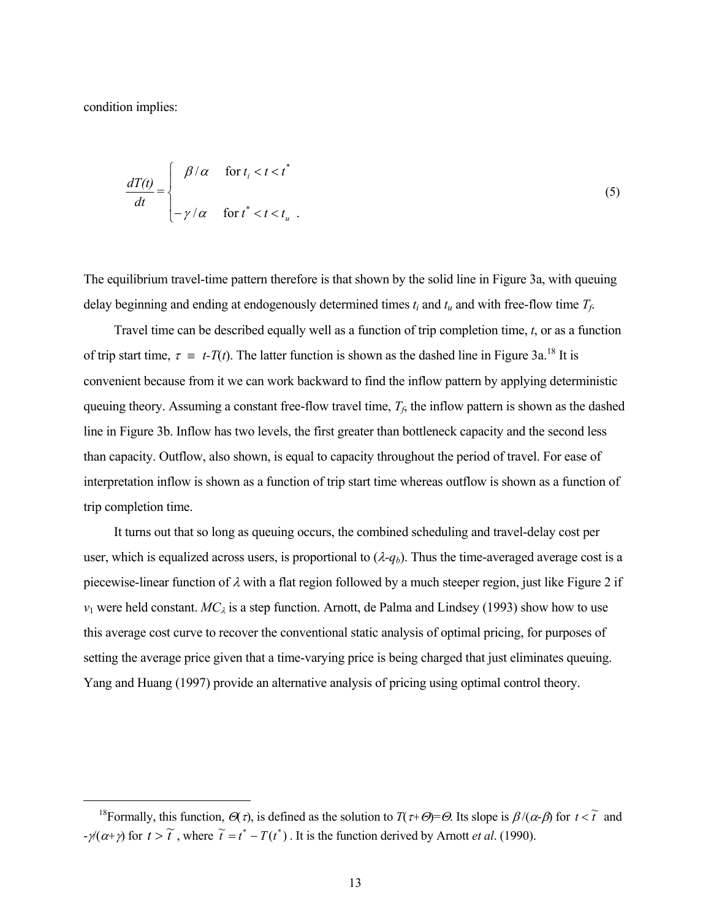condition implies:

 $\overline{a}$ 

$$
\frac{dT(t)}{dt} = \begin{cases} \beta/\alpha & \text{for } t_i < t < t^* \\ -\gamma/\alpha & \text{for } t^* < t < t_u \end{cases} \tag{5}
$$

The equilibrium travel-time pattern therefore is that shown by the solid line in Figure 3a, with queuing delay beginning and ending at endogenously determined times *ti* and *tu* and with free-flow time *Tf*.

 Travel time can be described equally well as a function of trip completion time, *t*, or as a function of trip start time,  $\tau = t-T(t)$ . The latter function is shown as the dashed line in Figure 3a.<sup>18</sup> It is convenient because from it we can work backward to find the inflow pattern by applying deterministic queuing theory. Assuming a constant free-flow travel time,  $T_f$ , the inflow pattern is shown as the dashed line in Figure 3b. Inflow has two levels, the first greater than bottleneck capacity and the second less than capacity. Outflow, also shown, is equal to capacity throughout the period of travel. For ease of interpretation inflow is shown as a function of trip start time whereas outflow is shown as a function of trip completion time.

 It turns out that so long as queuing occurs, the combined scheduling and travel-delay cost per user, which is equalized across users, is proportional to  $(\lambda - q_b)$ . Thus the time-averaged average cost is a piecewise-linear function of  $\lambda$  with a flat region followed by a much steeper region, just like Figure 2 if  $v_1$  were held constant.  $MC_\lambda$  is a step function. Arnott, de Palma and Lindsey (1993) show how to use this average cost curve to recover the conventional static analysis of optimal pricing, for purposes of setting the average price given that a time-varying price is being charged that just eliminates queuing. Yang and Huang (1997) provide an alternative analysis of pricing using optimal control theory.

<sup>&</sup>lt;sup>18</sup>Formally, this function,  $\Theta(\tau)$ , is defined as the solution to  $T(\tau+\Theta)=\Theta$ . Its slope is  $\beta/(\alpha-\beta)$  for  $t < \tilde{t}$  and  $-\gamma(\alpha+\gamma)$  for  $t > \tilde{t}$ , where  $\tilde{t} = t^* - T(t^*)$ . It is the function derived by Arnott *et al.* (1990).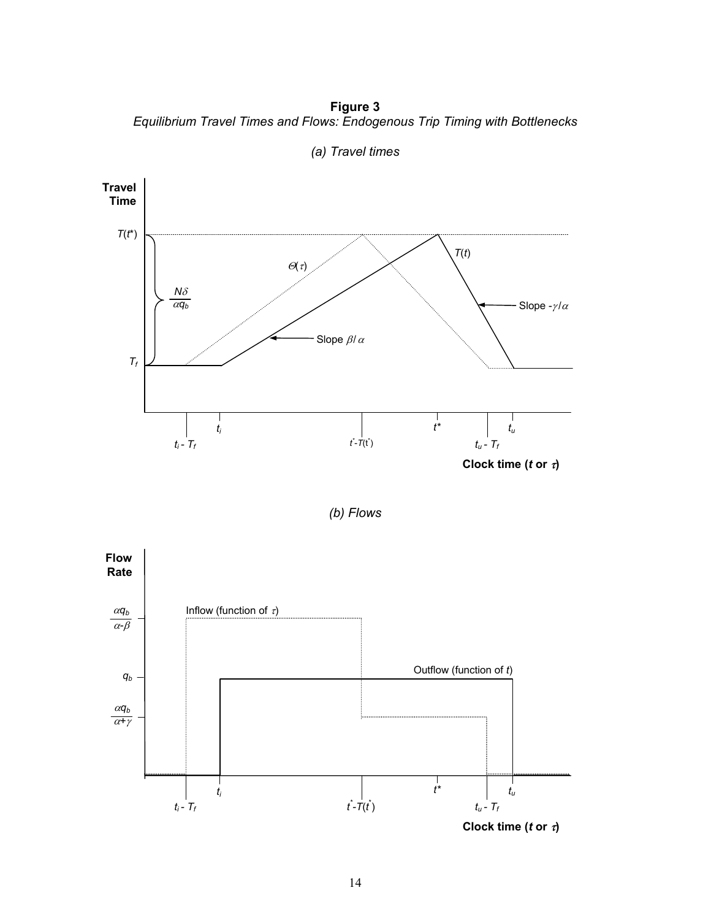**Figure 3**  *Equilibrium Travel Times and Flows: Endogenous Trip Timing with Bottlenecks* 



*(a) Travel times*



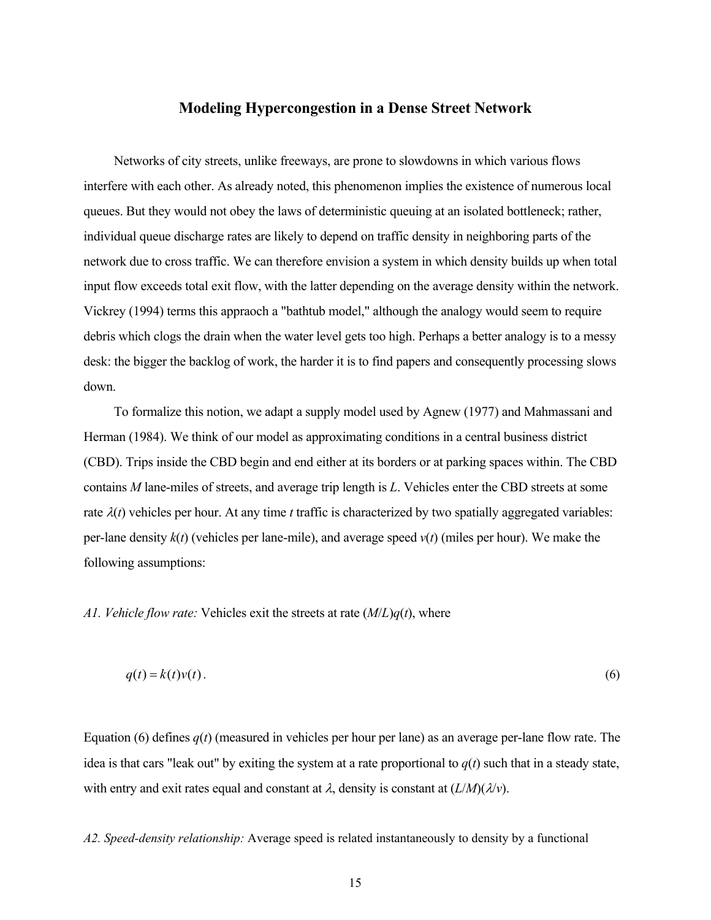# **Modeling Hypercongestion in a Dense Street Network**

 Networks of city streets, unlike freeways, are prone to slowdowns in which various flows interfere with each other. As already noted, this phenomenon implies the existence of numerous local queues. But they would not obey the laws of deterministic queuing at an isolated bottleneck; rather, individual queue discharge rates are likely to depend on traffic density in neighboring parts of the network due to cross traffic. We can therefore envision a system in which density builds up when total input flow exceeds total exit flow, with the latter depending on the average density within the network. Vickrey (1994) terms this appraoch a "bathtub model," although the analogy would seem to require debris which clogs the drain when the water level gets too high. Perhaps a better analogy is to a messy desk: the bigger the backlog of work, the harder it is to find papers and consequently processing slows down.

 To formalize this notion, we adapt a supply model used by Agnew (1977) and Mahmassani and Herman (1984). We think of our model as approximating conditions in a central business district (CBD). Trips inside the CBD begin and end either at its borders or at parking spaces within. The CBD contains *M* lane-miles of streets, and average trip length is *L*. Vehicles enter the CBD streets at some rate  $\lambda(t)$  vehicles per hour. At any time *t* traffic is characterized by two spatially aggregated variables: per-lane density  $k(t)$  (vehicles per lane-mile), and average speed  $v(t)$  (miles per hour). We make the following assumptions:

## *A1. Vehicle flow rate:* Vehicles exit the streets at rate (*M*/*L*)*q*(*t*), where

$$
q(t) = k(t)v(t).
$$
\n<sup>(6)</sup>

Equation (6) defines  $q(t)$  (measured in vehicles per hour per lane) as an average per-lane flow rate. The idea is that cars "leak out" by exiting the system at a rate proportional to  $q(t)$  such that in a steady state, with entry and exit rates equal and constant at  $\lambda$ , density is constant at  $(L/M)(\lambda/\nu)$ .

*A2. Speed-density relationship:* Average speed is related instantaneously to density by a functional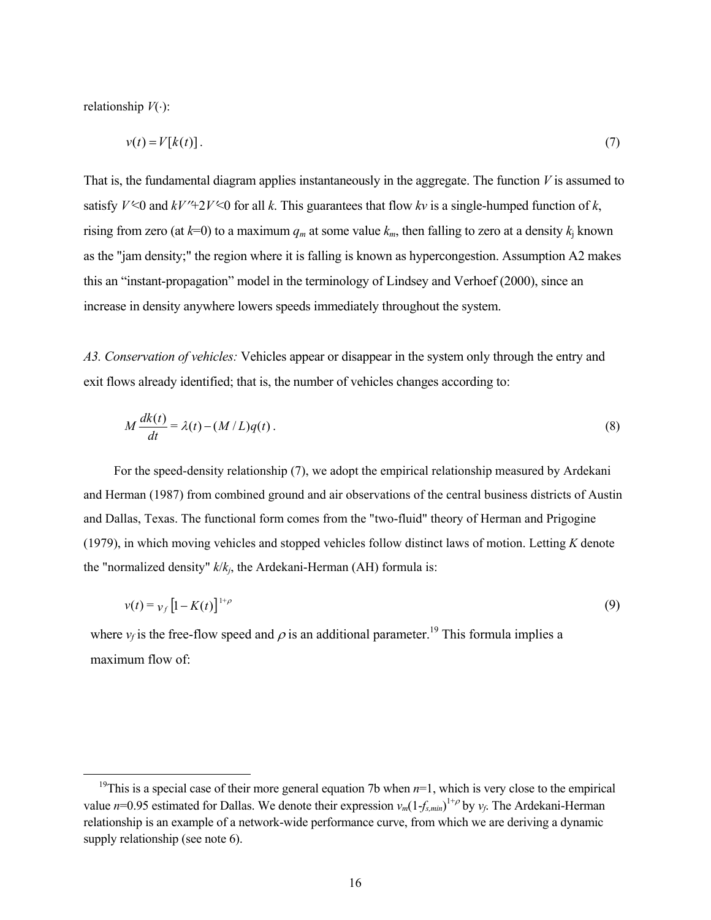relationship *V*(⋅):

 $\overline{a}$ 

$$
v(t) = V[k(t)].
$$
\n(7)

That is, the fundamental diagram applies instantaneously in the aggregate. The function *V* is assumed to satisfy  $V \le 0$  and  $kV'' + 2V \le 0$  for all k. This guarantees that flow kv is a single-humped function of k, rising from zero (at  $k=0$ ) to a maximum  $q_m$  at some value  $k_m$ , then falling to zero at a density  $k_i$  known as the "jam density;" the region where it is falling is known as hypercongestion. Assumption A2 makes this an "instant-propagation" model in the terminology of Lindsey and Verhoef (2000), since an increase in density anywhere lowers speeds immediately throughout the system.

*A3. Conservation of vehicles:* Vehicles appear or disappear in the system only through the entry and exit flows already identified; that is, the number of vehicles changes according to:

$$
M\frac{dk(t)}{dt} = \lambda(t) - (M/L)q(t).
$$
\n(8)

 For the speed-density relationship (7), we adopt the empirical relationship measured by Ardekani and Herman (1987) from combined ground and air observations of the central business districts of Austin and Dallas, Texas. The functional form comes from the "two-fluid" theory of Herman and Prigogine (1979), in which moving vehicles and stopped vehicles follow distinct laws of motion. Letting *K* denote the "normalized density" *k*/*kj*, the Ardekani-Herman (AH) formula is:

$$
v(t) = v_f \left[ 1 - K(t) \right]^{1+\rho} \tag{9}
$$

where  $v_f$  is the free-flow speed and  $\rho$  is an additional parameter.<sup>19</sup> This formula implies a maximum flow of:

<sup>&</sup>lt;sup>19</sup>This is a special case of their more general equation 7b when  $n=1$ , which is very close to the empirical value  $n=0.95$  estimated for Dallas. We denote their expression  $v_m(1-f_{s,min})^{1+\rho}$  by  $v_f$ . The Ardekani-Herman relationship is an example of a network-wide performance curve, from which we are deriving a dynamic supply relationship (see note 6).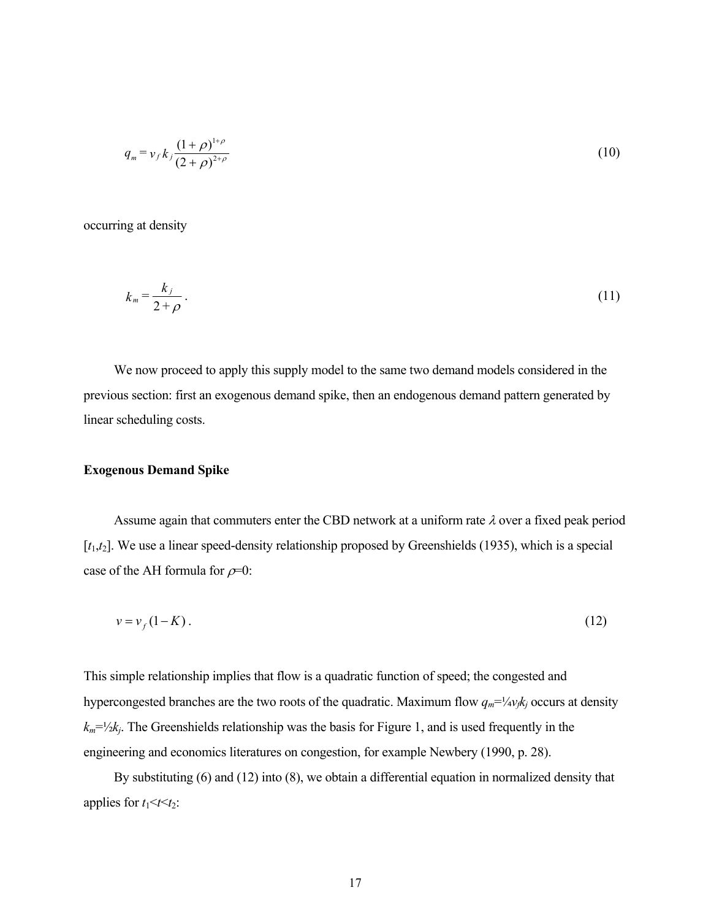$$
q_m = v_f k_j \frac{(1+\rho)^{1+\rho}}{(2+\rho)^{2+\rho}}
$$
 (10)

occurring at density

$$
k_m = \frac{k_j}{2+\rho} \,. \tag{11}
$$

 We now proceed to apply this supply model to the same two demand models considered in the previous section: first an exogenous demand spike, then an endogenous demand pattern generated by linear scheduling costs.

#### **Exogenous Demand Spike**

Assume again that commuters enter the CBD network at a uniform rate  $\lambda$  over a fixed peak period [ $t_1$ , $t_2$ ]. We use a linear speed-density relationship proposed by Greenshields (1935), which is a special case of the AH formula for  $\rho=0$ :

$$
v = v_f(1 - K). \tag{12}
$$

This simple relationship implies that flow is a quadratic function of speed; the congested and hypercongested branches are the two roots of the quadratic. Maximum flow  $q_m = \frac{1}{4}v_f k_j$  occurs at density  $k_m = \frac{1}{2}k_j$ . The Greenshields relationship was the basis for Figure 1, and is used frequently in the engineering and economics literatures on congestion, for example Newbery (1990, p. 28).

 By substituting (6) and (12) into (8), we obtain a differential equation in normalized density that applies for  $t_1 \le t \le t_2$ :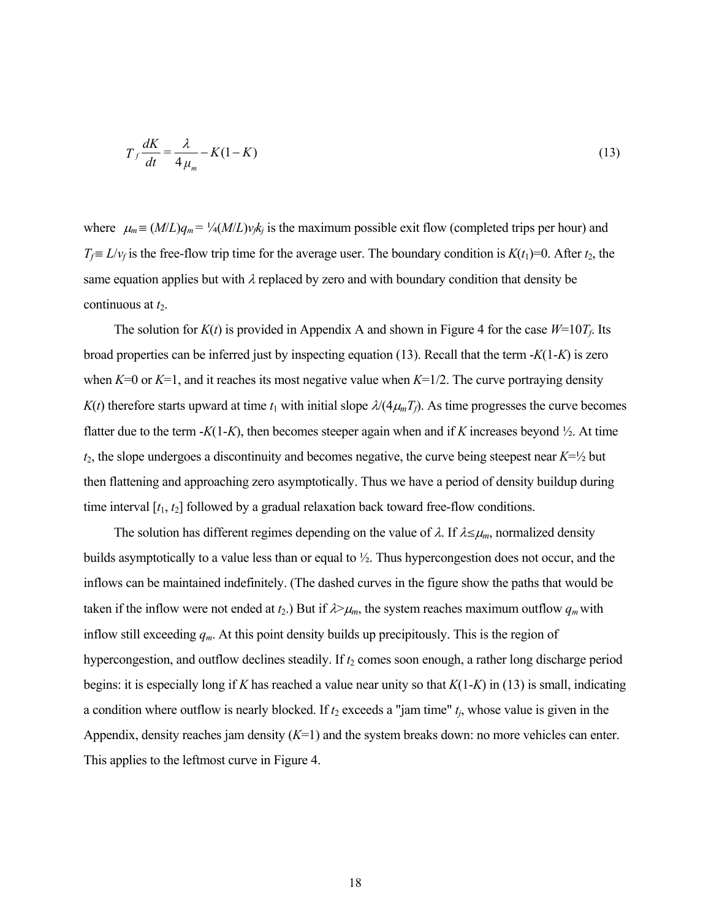$$
T_f \frac{dK}{dt} = \frac{\lambda}{4\mu_m} - K(1 - K) \tag{13}
$$

where  $\mu_m \equiv (M/L)q_m = \frac{1}{4}(M/L)v_f k_j$  is the maximum possible exit flow (completed trips per hour) and *T*<sub>*f*</sub> ≡ *L*/ $v_f$  is the free-flow trip time for the average user. The boundary condition is *K*(*t*<sub>1</sub>)=0. After *t*<sub>2</sub>, the same equation applies but with  $\lambda$  replaced by zero and with boundary condition that density be continuous at  $t_2$ .

The solution for  $K(t)$  is provided in Appendix A and shown in Figure 4 for the case  $W=10T_f$ . Its broad properties can be inferred just by inspecting equation (13). Recall that the term -*K*(1-*K*) is zero when  $K=0$  or  $K=1$ , and it reaches its most negative value when  $K=1/2$ . The curve portraying density  $K(t)$  therefore starts upward at time  $t_1$  with initial slope  $\lambda/(4\mu_m T_f)$ . As time progresses the curve becomes flatter due to the term  $-K(1-K)$ , then becomes steeper again when and if K increases beyond  $\frac{1}{2}$ . At time *t*2, the slope undergoes a discontinuity and becomes negative, the curve being steepest near *K*=½ but then flattening and approaching zero asymptotically. Thus we have a period of density buildup during time interval [*t*1, *t*2] followed by a gradual relaxation back toward free-flow conditions.

The solution has different regimes depending on the value of  $\lambda$ . If  $\lambda \leq \mu_m$ , normalized density builds asymptotically to a value less than or equal to ½. Thus hypercongestion does not occur, and the inflows can be maintained indefinitely. (The dashed curves in the figure show the paths that would be taken if the inflow were not ended at  $t_2$ .) But if  $\lambda > \mu_m$ , the system reaches maximum outflow  $q_m$  with inflow still exceeding *qm*. At this point density builds up precipitously. This is the region of hypercongestion, and outflow declines steadily. If  $t_2$  comes soon enough, a rather long discharge period begins: it is especially long if *K* has reached a value near unity so that *K*(1-*K*) in (13) is small, indicating a condition where outflow is nearly blocked. If  $t_2$  exceeds a "jam time"  $t_i$ , whose value is given in the Appendix, density reaches jam density (*K*=1) and the system breaks down: no more vehicles can enter. This applies to the leftmost curve in Figure 4.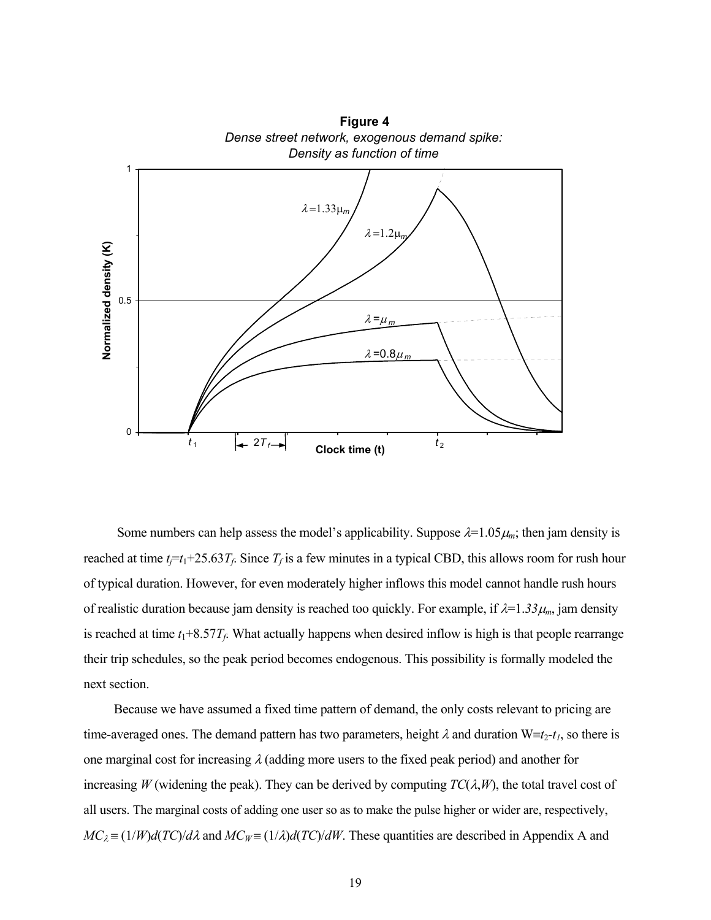

**Figure 4**

Some numbers can help assess the model's applicability. Suppose  $\lambda = 1.05\mu_m$ ; then jam density is reached at time  $t_j = t_1 + 25.63T_f$ . Since  $T_f$  is a few minutes in a typical CBD, this allows room for rush hour of typical duration. However, for even moderately higher inflows this model cannot handle rush hours of realistic duration because jam density is reached too quickly. For example, if  $\lambda = 1.33 \mu_m$ , jam density is reached at time  $t_1+8.57T_f$ . What actually happens when desired inflow is high is that people rearrange their trip schedules, so the peak period becomes endogenous. This possibility is formally modeled the next section.

 Because we have assumed a fixed time pattern of demand, the only costs relevant to pricing are time-averaged ones. The demand pattern has two parameters, height  $\lambda$  and duration W≡ $t_2$ - $t_1$ , so there is one marginal cost for increasing  $\lambda$  (adding more users to the fixed peak period) and another for increasing *W* (widening the peak). They can be derived by computing  $TC(\lambda, W)$ , the total travel cost of all users. The marginal costs of adding one user so as to make the pulse higher or wider are, respectively,  $MC_\lambda = (1/W)d(TC)/d\lambda$  and  $MC_W = (1/\lambda)d(TC)/dW$ . These quantities are described in Appendix A and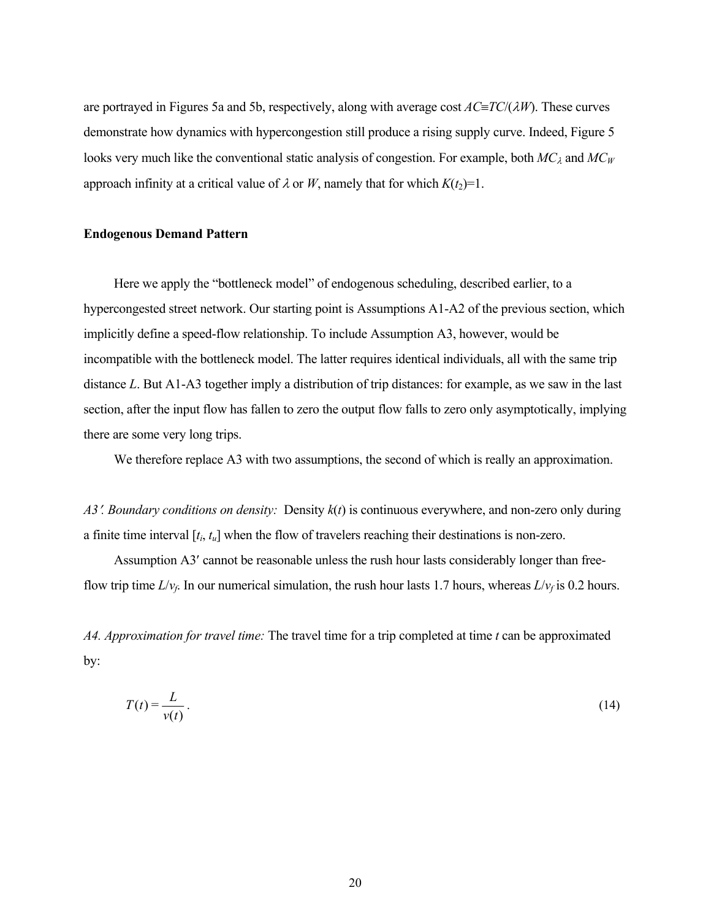are portrayed in Figures 5a and 5b, respectively, along with average cost *AC*≡*TC*/(λ*W*). These curves demonstrate how dynamics with hypercongestion still produce a rising supply curve. Indeed, Figure 5 looks very much like the conventional static analysis of congestion. For example, both *MC*<sub>λ</sub> and *MC*<sub>*W*</sub> approach infinity at a critical value of  $\lambda$  or *W*, namely that for which  $K(t_2)=1$ .

#### **Endogenous Demand Pattern**

 Here we apply the "bottleneck model" of endogenous scheduling, described earlier, to a hypercongested street network. Our starting point is Assumptions A1-A2 of the previous section, which implicitly define a speed-flow relationship. To include Assumption A3, however, would be incompatible with the bottleneck model. The latter requires identical individuals, all with the same trip distance *L*. But A1-A3 together imply a distribution of trip distances: for example, as we saw in the last section, after the input flow has fallen to zero the output flow falls to zero only asymptotically, implying there are some very long trips.

We therefore replace A3 with two assumptions, the second of which is really an approximation.

*A3*′*. Boundary conditions on density:* Density *k*(*t*) is continuous everywhere, and non-zero only during a finite time interval [*ti*, *tu*] when the flow of travelers reaching their destinations is non-zero.

 Assumption A3′ cannot be reasonable unless the rush hour lasts considerably longer than freeflow trip time  $L/v_f$ . In our numerical simulation, the rush hour lasts 1.7 hours, whereas  $L/v_f$  is 0.2 hours.

*A4. Approximation for travel time:* The travel time for a trip completed at time *t* can be approximated by:

$$
T(t) = \frac{L}{v(t)}\,. \tag{14}
$$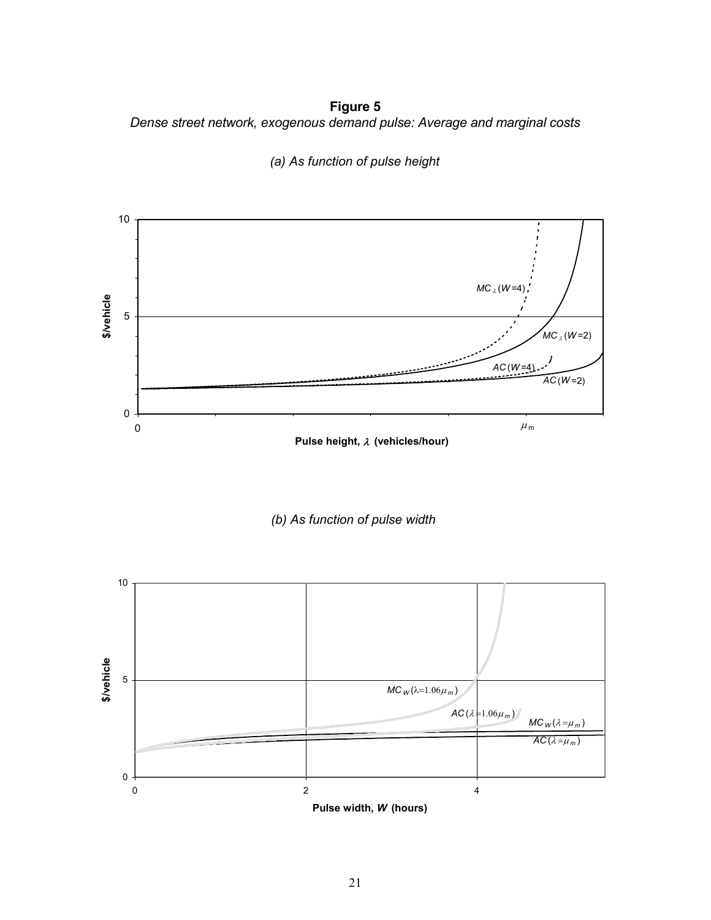**Figure 5**  *Dense street network, exogenous demand pulse: Average and marginal costs* 



*(a) As function of pulse height*

*(b) As function of pulse width*



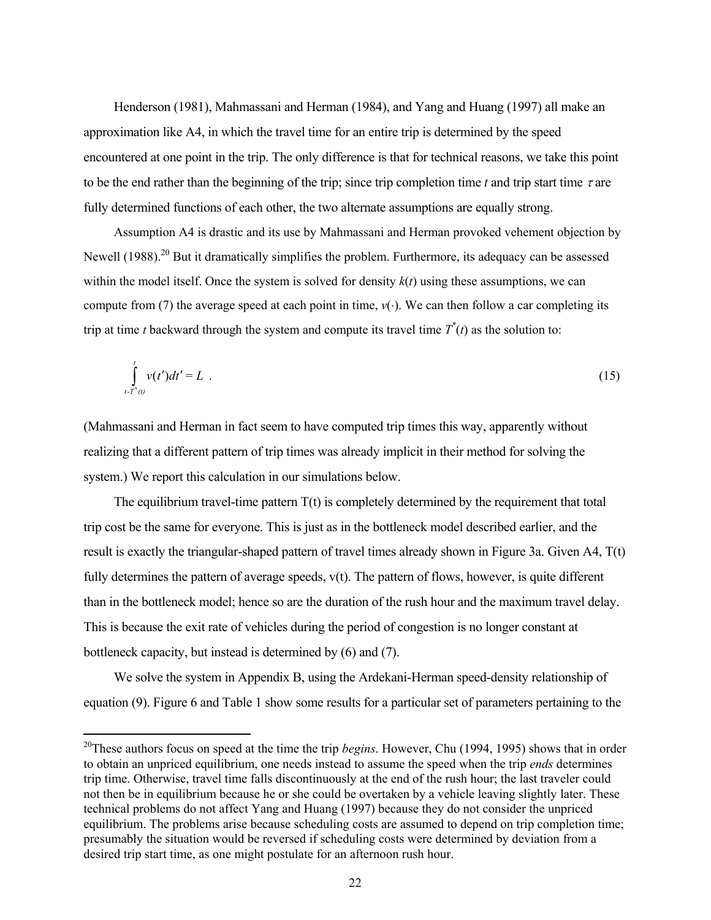Henderson (1981), Mahmassani and Herman (1984), and Yang and Huang (1997) all make an approximation like A4, in which the travel time for an entire trip is determined by the speed encountered at one point in the trip. The only difference is that for technical reasons, we take this point to be the end rather than the beginning of the trip; since trip completion time *t* and trip start time  $\tau$  are fully determined functions of each other, the two alternate assumptions are equally strong.

 Assumption A4 is drastic and its use by Mahmassani and Herman provoked vehement objection by Newell  $(1988)$ <sup>20</sup> But it dramatically simplifies the problem. Furthermore, its adequacy can be assessed within the model itself. Once the system is solved for density *k*(*t*) using these assumptions, we can compute from (7) the average speed at each point in time,  $v(·)$ . We can then follow a car completing its trip at time *t* backward through the system and compute its travel time  $T^*(t)$  as the solution to:

$$
\int_{t-T^*(t)}^t v(t')dt' = L \tag{15}
$$

(Mahmassani and Herman in fact seem to have computed trip times this way, apparently without realizing that a different pattern of trip times was already implicit in their method for solving the system.) We report this calculation in our simulations below.

The equilibrium travel-time pattern  $T(t)$  is completely determined by the requirement that total trip cost be the same for everyone. This is just as in the bottleneck model described earlier, and the result is exactly the triangular-shaped pattern of travel times already shown in Figure 3a. Given A4, T(t) fully determines the pattern of average speeds, v(t). The pattern of flows, however, is quite different than in the bottleneck model; hence so are the duration of the rush hour and the maximum travel delay. This is because the exit rate of vehicles during the period of congestion is no longer constant at bottleneck capacity, but instead is determined by (6) and (7).

 We solve the system in Appendix B, using the Ardekani-Herman speed-density relationship of equation (9). Figure 6 and Table 1 show some results for a particular set of parameters pertaining to the

 $\overline{a}$ 

*t-T (t)*

<sup>20</sup>These authors focus on speed at the time the trip *begins*. However, Chu (1994, 1995) shows that in order to obtain an unpriced equilibrium, one needs instead to assume the speed when the trip *ends* determines trip time. Otherwise, travel time falls discontinuously at the end of the rush hour; the last traveler could not then be in equilibrium because he or she could be overtaken by a vehicle leaving slightly later. These technical problems do not affect Yang and Huang (1997) because they do not consider the unpriced equilibrium. The problems arise because scheduling costs are assumed to depend on trip completion time; presumably the situation would be reversed if scheduling costs were determined by deviation from a desired trip start time, as one might postulate for an afternoon rush hour.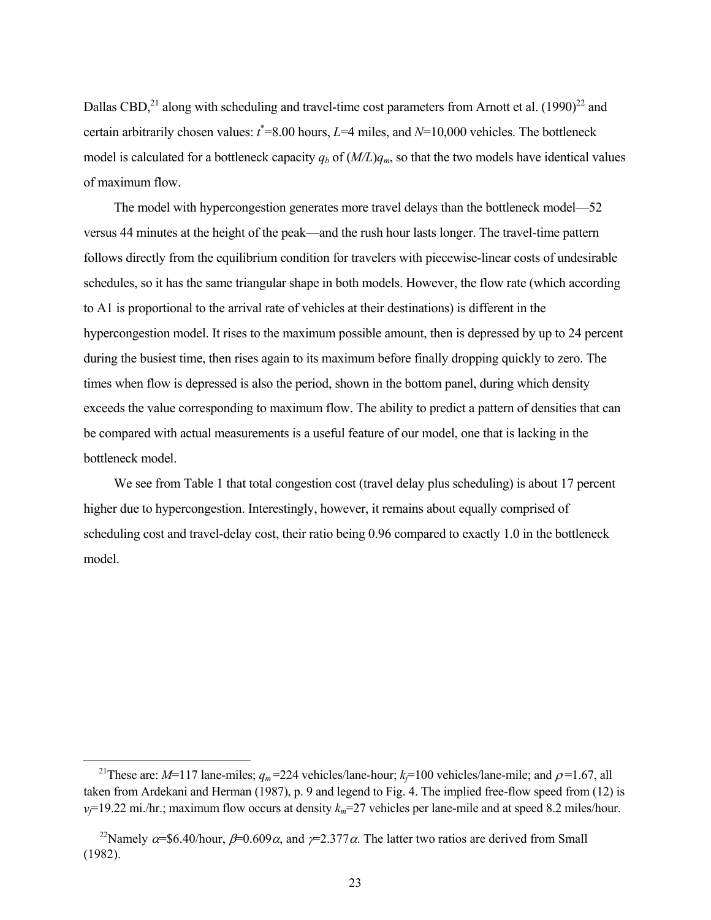Dallas CBD, $^{21}$  along with scheduling and travel-time cost parameters from Arnott et al. (1990)<sup>22</sup> and certain arbitrarily chosen values:  $t^*$ =8.00 hours,  $L$ =4 miles, and  $N$ =10,000 vehicles. The bottleneck model is calculated for a bottleneck capacity  $q_b$  of  $(M/L)q_m$ , so that the two models have identical values of maximum flow.

 The model with hypercongestion generates more travel delays than the bottleneck model—52 versus 44 minutes at the height of the peak—and the rush hour lasts longer. The travel-time pattern follows directly from the equilibrium condition for travelers with piecewise-linear costs of undesirable schedules, so it has the same triangular shape in both models. However, the flow rate (which according to A1 is proportional to the arrival rate of vehicles at their destinations) is different in the hypercongestion model. It rises to the maximum possible amount, then is depressed by up to 24 percent during the busiest time, then rises again to its maximum before finally dropping quickly to zero. The times when flow is depressed is also the period, shown in the bottom panel, during which density exceeds the value corresponding to maximum flow. The ability to predict a pattern of densities that can be compared with actual measurements is a useful feature of our model, one that is lacking in the bottleneck model.

 We see from Table 1 that total congestion cost (travel delay plus scheduling) is about 17 percent higher due to hypercongestion. Interestingly, however, it remains about equally comprised of scheduling cost and travel-delay cost, their ratio being 0.96 compared to exactly 1.0 in the bottleneck model.

 $\overline{a}$ 

<sup>&</sup>lt;sup>21</sup>These are: *M*=117 lane-miles;  $q_m$ =224 vehicles/lane-hour;  $k_f$ =100 vehicles/lane-mile; and  $\rho$ =1.67, all taken from Ardekani and Herman (1987), p. 9 and legend to Fig. 4. The implied free-flow speed from (12) is  $v_f$ =19.22 mi./hr.; maximum flow occurs at density  $k_m$ =27 vehicles per lane-mile and at speed 8.2 miles/hour.

<sup>&</sup>lt;sup>22</sup>Namely  $\alpha$ =\$6.40/hour,  $\beta$ =0.609 $\alpha$ , and  $\gamma$ =2.377 $\alpha$ . The latter two ratios are derived from Small (1982).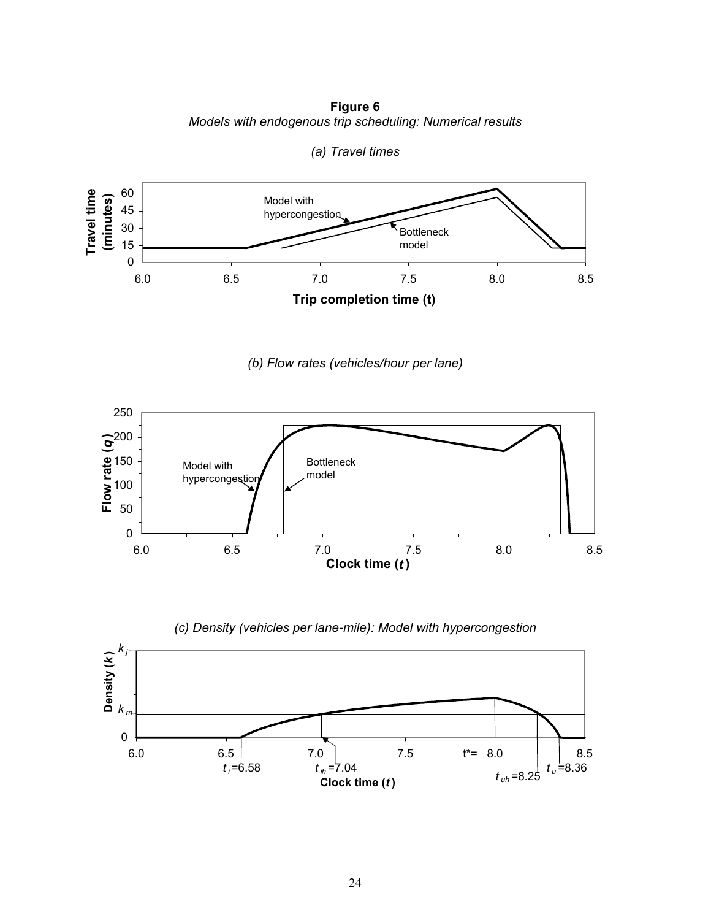**Figure 6** *Models with endogenous trip scheduling: Numerical results* 



*(a) Travel times* 

*(b) Flow rates (vehicles/hour per lane)* 



*(c) Density (vehicles per lane-mile): Model with hypercongestion* 

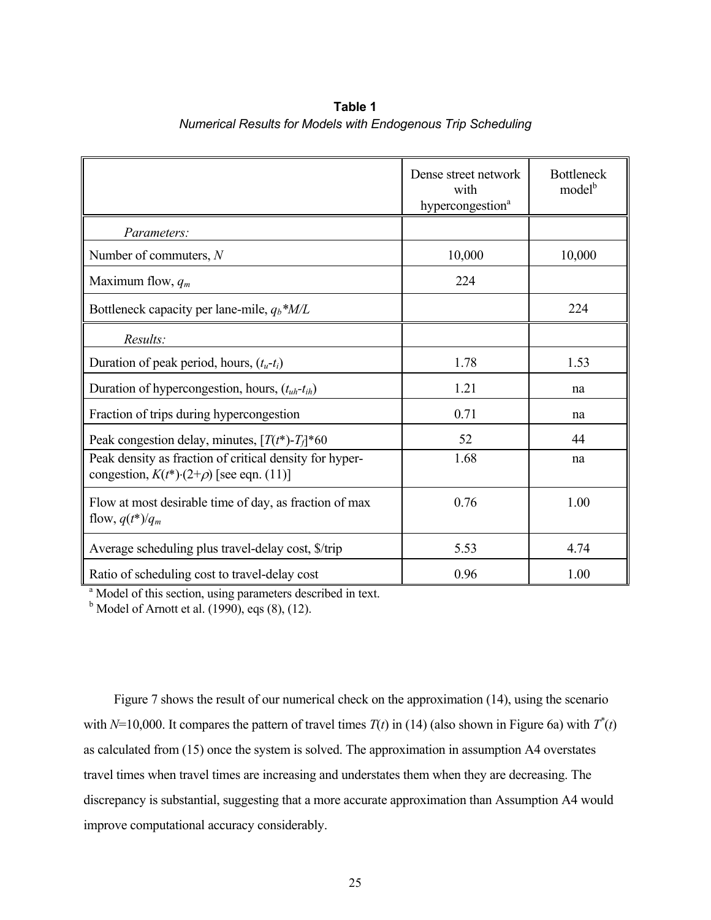|                                                                                                                | Dense street network<br>with<br>hypercongestion <sup>a</sup> | <b>Bottleneck</b><br>model <sup>b</sup> |
|----------------------------------------------------------------------------------------------------------------|--------------------------------------------------------------|-----------------------------------------|
| Parameters:                                                                                                    |                                                              |                                         |
| Number of commuters, $N$                                                                                       | 10,000                                                       | 10,000                                  |
| Maximum flow, $q_m$                                                                                            | 224                                                          |                                         |
| Bottleneck capacity per lane-mile, $q_b$ <sup>*</sup> M/L                                                      |                                                              | 224                                     |
| Results:                                                                                                       |                                                              |                                         |
| Duration of peak period, hours, $(t_u-t_i)$                                                                    | 1.78                                                         | 1.53                                    |
| Duration of hypercongestion, hours, $(t_{uh} - t_{ih})$                                                        | 1.21                                                         | na                                      |
| Fraction of trips during hypercongestion                                                                       | 0.71                                                         | na                                      |
| Peak congestion delay, minutes, $[T(t^*)$ - $T_f$ <sup>*</sup> 60                                              | 52                                                           | 44                                      |
| Peak density as fraction of critical density for hyper-<br>congestion, $K(t^*){\cdot}(2+\rho)$ [see eqn. (11)] | 1.68                                                         | na                                      |
| Flow at most desirable time of day, as fraction of max<br>flow, $q(t^*)/q_m$                                   | 0.76                                                         | 1.00                                    |
| Average scheduling plus travel-delay cost, \$/trip                                                             | 5.53                                                         | 4.74                                    |
| Ratio of scheduling cost to travel-delay cost                                                                  | 0.96                                                         | 1.00                                    |

**Table 1** *Numerical Results for Models with Endogenous Trip Scheduling*

<sup>a</sup> Model of this section, using parameters described in text.

 $<sup>b</sup>$  Model of Arnott et al. (1990), eqs (8), (12).</sup>

 Figure 7 shows the result of our numerical check on the approximation (14), using the scenario with  $N=10,000$ . It compares the pattern of travel times  $T(t)$  in (14) (also shown in Figure 6a) with  $T^*(t)$ as calculated from (15) once the system is solved. The approximation in assumption A4 overstates travel times when travel times are increasing and understates them when they are decreasing. The discrepancy is substantial, suggesting that a more accurate approximation than Assumption A4 would improve computational accuracy considerably.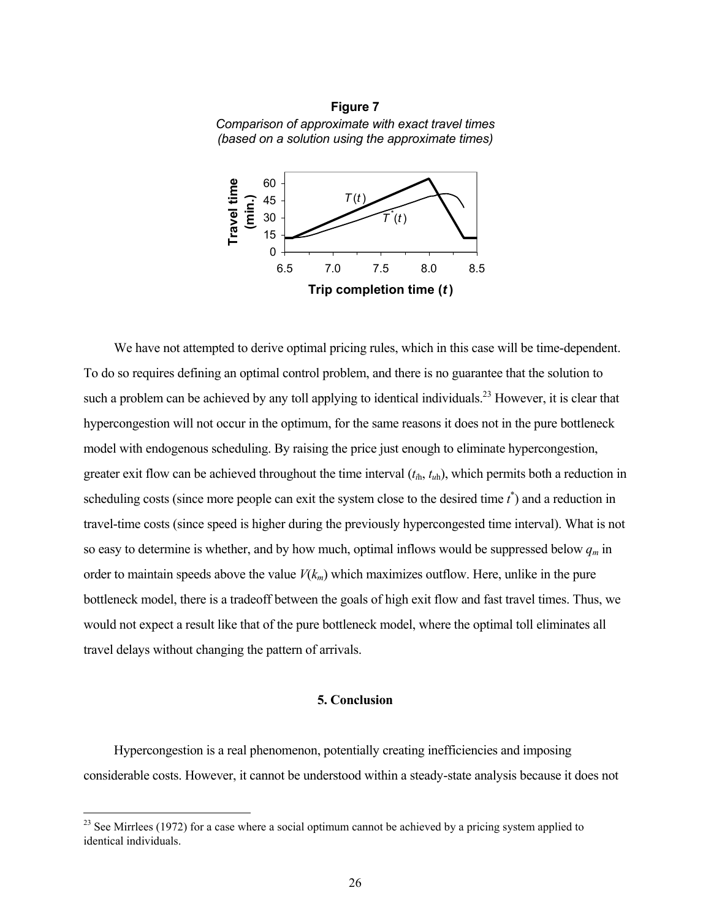



 We have not attempted to derive optimal pricing rules, which in this case will be time-dependent. To do so requires defining an optimal control problem, and there is no guarantee that the solution to such a problem can be achieved by any toll applying to identical individuals.<sup>23</sup> However, it is clear that hypercongestion will not occur in the optimum, for the same reasons it does not in the pure bottleneck model with endogenous scheduling. By raising the price just enough to eliminate hypercongestion, greater exit flow can be achieved throughout the time interval (*ti*h, *tu*h), which permits both a reduction in scheduling costs (since more people can exit the system close to the desired time  $t^*$ ) and a reduction in travel-time costs (since speed is higher during the previously hypercongested time interval). What is not so easy to determine is whether, and by how much, optimal inflows would be suppressed below  $q_m$  in order to maintain speeds above the value  $V(k_m)$  which maximizes outflow. Here, unlike in the pure bottleneck model, there is a tradeoff between the goals of high exit flow and fast travel times. Thus, we would not expect a result like that of the pure bottleneck model, where the optimal toll eliminates all travel delays without changing the pattern of arrivals.

### **5. Conclusion**

 Hypercongestion is a real phenomenon, potentially creating inefficiencies and imposing considerable costs. However, it cannot be understood within a steady-state analysis because it does not

 $\overline{a}$ 

 $^{23}$  See Mirrlees (1972) for a case where a social optimum cannot be achieved by a pricing system applied to identical individuals.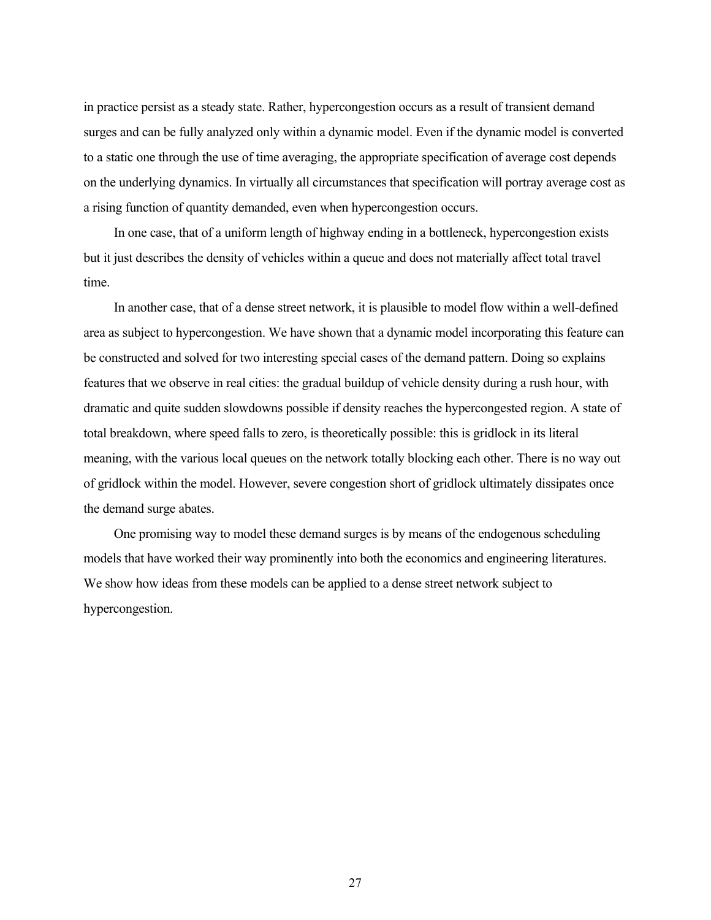in practice persist as a steady state. Rather, hypercongestion occurs as a result of transient demand surges and can be fully analyzed only within a dynamic model. Even if the dynamic model is converted to a static one through the use of time averaging, the appropriate specification of average cost depends on the underlying dynamics. In virtually all circumstances that specification will portray average cost as a rising function of quantity demanded, even when hypercongestion occurs.

 In one case, that of a uniform length of highway ending in a bottleneck, hypercongestion exists but it just describes the density of vehicles within a queue and does not materially affect total travel time.

 In another case, that of a dense street network, it is plausible to model flow within a well-defined area as subject to hypercongestion. We have shown that a dynamic model incorporating this feature can be constructed and solved for two interesting special cases of the demand pattern. Doing so explains features that we observe in real cities: the gradual buildup of vehicle density during a rush hour, with dramatic and quite sudden slowdowns possible if density reaches the hypercongested region. A state of total breakdown, where speed falls to zero, is theoretically possible: this is gridlock in its literal meaning, with the various local queues on the network totally blocking each other. There is no way out of gridlock within the model. However, severe congestion short of gridlock ultimately dissipates once the demand surge abates.

 One promising way to model these demand surges is by means of the endogenous scheduling models that have worked their way prominently into both the economics and engineering literatures. We show how ideas from these models can be applied to a dense street network subject to hypercongestion.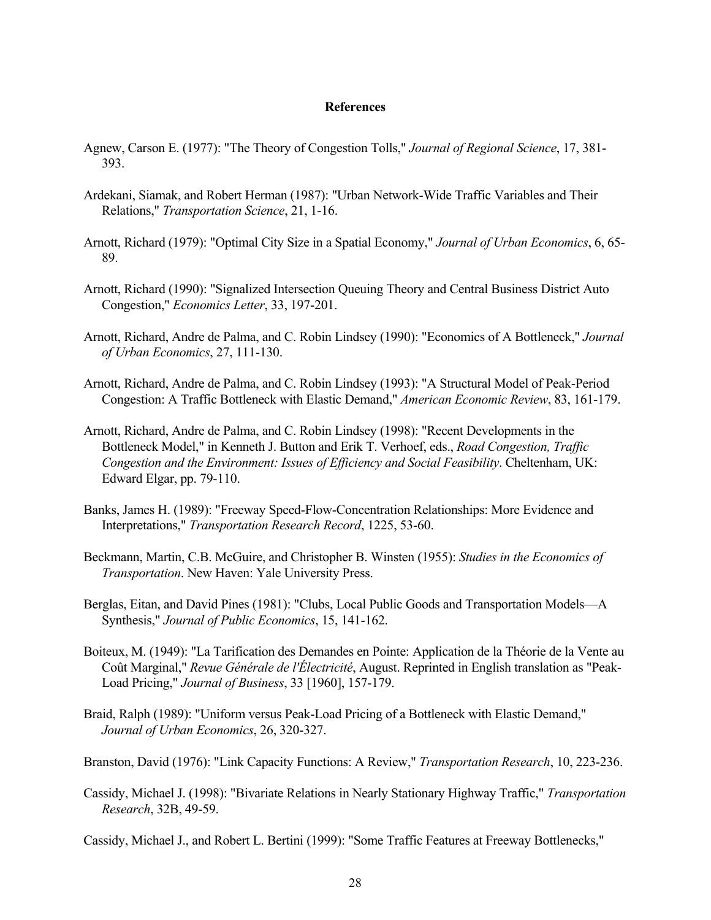#### **References**

- Agnew, Carson E. (1977): "The Theory of Congestion Tolls," *Journal of Regional Science*, 17, 381- 393.
- Ardekani, Siamak, and Robert Herman (1987): "Urban Network-Wide Traffic Variables and Their Relations," *Transportation Science*, 21, 1-16.
- Arnott, Richard (1979): "Optimal City Size in a Spatial Economy," *Journal of Urban Economics*, 6, 65- 89.
- Arnott, Richard (1990): "Signalized Intersection Queuing Theory and Central Business District Auto Congestion," *Economics Letter*, 33, 197-201.
- Arnott, Richard, Andre de Palma, and C. Robin Lindsey (1990): "Economics of A Bottleneck," *Journal of Urban Economics*, 27, 111-130.
- Arnott, Richard, Andre de Palma, and C. Robin Lindsey (1993): "A Structural Model of Peak-Period Congestion: A Traffic Bottleneck with Elastic Demand," *American Economic Review*, 83, 161-179.
- Arnott, Richard, Andre de Palma, and C. Robin Lindsey (1998): "Recent Developments in the Bottleneck Model," in Kenneth J. Button and Erik T. Verhoef, eds., *Road Congestion, Traffic Congestion and the Environment: Issues of Efficiency and Social Feasibility*. Cheltenham, UK: Edward Elgar, pp. 79-110.
- Banks, James H. (1989): "Freeway Speed-Flow-Concentration Relationships: More Evidence and Interpretations," *Transportation Research Record*, 1225, 53-60.
- Beckmann, Martin, C.B. McGuire, and Christopher B. Winsten (1955): *Studies in the Economics of Transportation*. New Haven: Yale University Press.
- Berglas, Eitan, and David Pines (1981): "Clubs, Local Public Goods and Transportation Models—A Synthesis," *Journal of Public Economics*, 15, 141-162.
- Boiteux, M. (1949): "La Tarification des Demandes en Pointe: Application de la Théorie de la Vente au Coût Marginal," *Revue Générale de l'Électricité*, August. Reprinted in English translation as "Peak-Load Pricing," *Journal of Business*, 33 [1960], 157-179.
- Braid, Ralph (1989): "Uniform versus Peak-Load Pricing of a Bottleneck with Elastic Demand," *Journal of Urban Economics*, 26, 320-327.
- Branston, David (1976): "Link Capacity Functions: A Review," *Transportation Research*, 10, 223-236.
- Cassidy, Michael J. (1998): "Bivariate Relations in Nearly Stationary Highway Traffic," *Transportation Research*, 32B, 49-59.

Cassidy, Michael J., and Robert L. Bertini (1999): "Some Traffic Features at Freeway Bottlenecks,"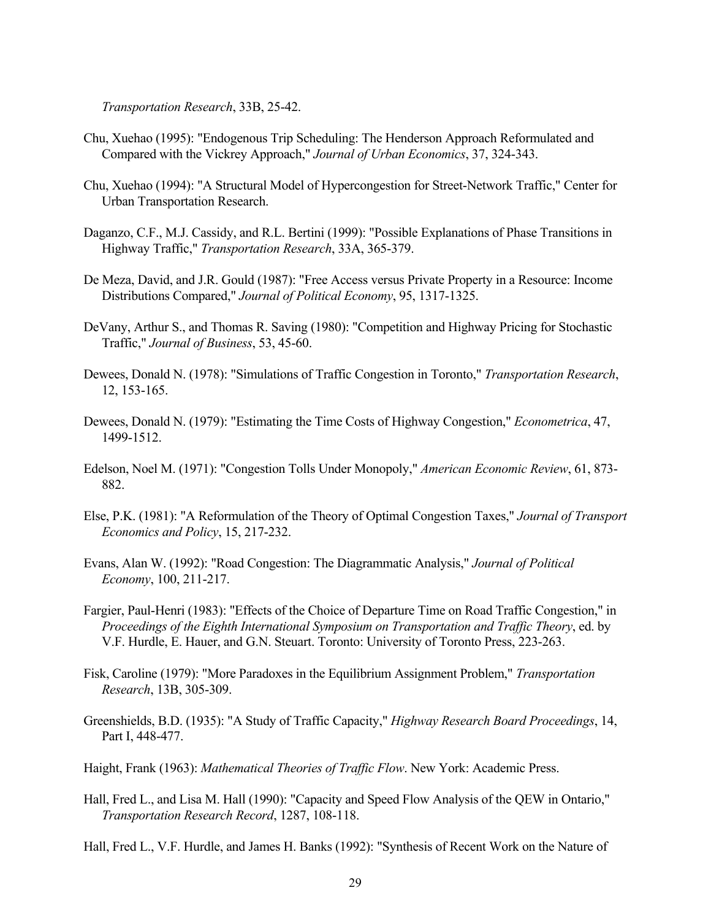*Transportation Research*, 33B, 25-42.

- Chu, Xuehao (1995): "Endogenous Trip Scheduling: The Henderson Approach Reformulated and Compared with the Vickrey Approach," *Journal of Urban Economics*, 37, 324-343.
- Chu, Xuehao (1994): "A Structural Model of Hypercongestion for Street-Network Traffic," Center for Urban Transportation Research.
- Daganzo, C.F., M.J. Cassidy, and R.L. Bertini (1999): "Possible Explanations of Phase Transitions in Highway Traffic," *Transportation Research*, 33A, 365-379.
- De Meza, David, and J.R. Gould (1987): "Free Access versus Private Property in a Resource: Income Distributions Compared," *Journal of Political Economy*, 95, 1317-1325.
- DeVany, Arthur S., and Thomas R. Saving (1980): "Competition and Highway Pricing for Stochastic Traffic," *Journal of Business*, 53, 45-60.
- Dewees, Donald N. (1978): "Simulations of Traffic Congestion in Toronto," *Transportation Research*, 12, 153-165.
- Dewees, Donald N. (1979): "Estimating the Time Costs of Highway Congestion," *Econometrica*, 47, 1499-1512.
- Edelson, Noel M. (1971): "Congestion Tolls Under Monopoly," *American Economic Review*, 61, 873- 882.
- Else, P.K. (1981): "A Reformulation of the Theory of Optimal Congestion Taxes," *Journal of Transport Economics and Policy*, 15, 217-232.
- Evans, Alan W. (1992): "Road Congestion: The Diagrammatic Analysis," *Journal of Political Economy*, 100, 211-217.
- Fargier, Paul-Henri (1983): "Effects of the Choice of Departure Time on Road Traffic Congestion," in *Proceedings of the Eighth International Symposium on Transportation and Traffic Theory*, ed. by V.F. Hurdle, E. Hauer, and G.N. Steuart. Toronto: University of Toronto Press, 223-263.
- Fisk, Caroline (1979): "More Paradoxes in the Equilibrium Assignment Problem," *Transportation Research*, 13B, 305-309.
- Greenshields, B.D. (1935): "A Study of Traffic Capacity," *Highway Research Board Proceedings*, 14, Part I, 448-477.
- Haight, Frank (1963): *Mathematical Theories of Traffic Flow*. New York: Academic Press.
- Hall, Fred L., and Lisa M. Hall (1990): "Capacity and Speed Flow Analysis of the QEW in Ontario," *Transportation Research Record*, 1287, 108-118.
- Hall, Fred L., V.F. Hurdle, and James H. Banks (1992): "Synthesis of Recent Work on the Nature of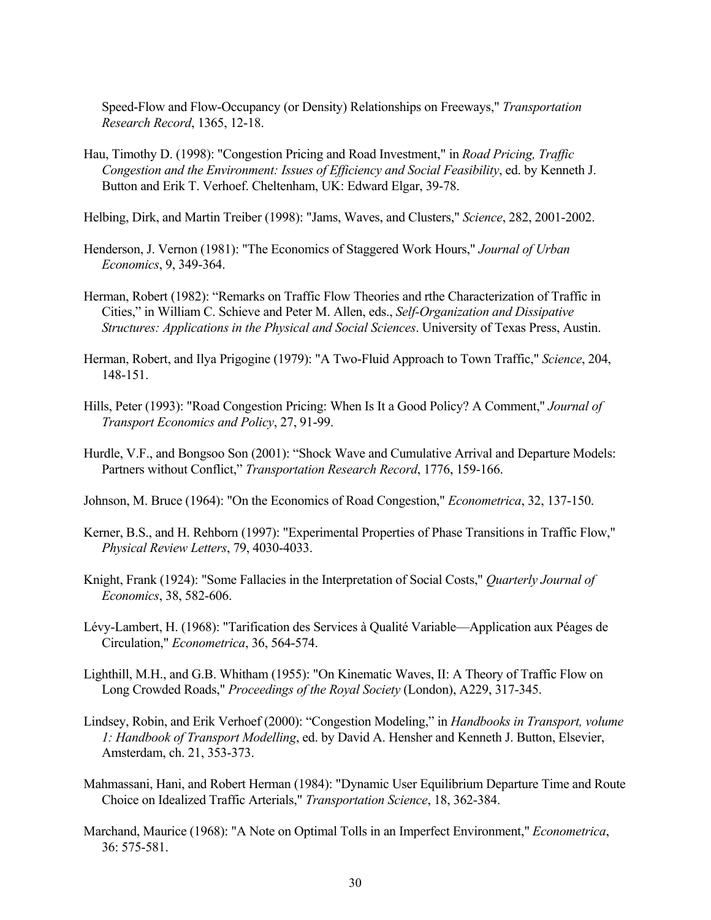Speed-Flow and Flow-Occupancy (or Density) Relationships on Freeways," *Transportation Research Record*, 1365, 12-18.

- Hau, Timothy D. (1998): "Congestion Pricing and Road Investment," in *Road Pricing, Traffic Congestion and the Environment: Issues of Efficiency and Social Feasibility*, ed. by Kenneth J. Button and Erik T. Verhoef. Cheltenham, UK: Edward Elgar, 39-78.
- Helbing, Dirk, and Martin Treiber (1998): "Jams, Waves, and Clusters," *Science*, 282, 2001-2002.
- Henderson, J. Vernon (1981): "The Economics of Staggered Work Hours," *Journal of Urban Economics*, 9, 349-364.
- Herman, Robert (1982): "Remarks on Traffic Flow Theories and rthe Characterization of Traffic in Cities," in William C. Schieve and Peter M. Allen, eds., *Self-Organization and Dissipative Structures: Applications in the Physical and Social Sciences*. University of Texas Press, Austin.
- Herman, Robert, and Ilya Prigogine (1979): "A Two-Fluid Approach to Town Traffic," *Science*, 204, 148-151.
- Hills, Peter (1993): "Road Congestion Pricing: When Is It a Good Policy? A Comment," *Journal of Transport Economics and Policy*, 27, 91-99.
- Hurdle, V.F., and Bongsoo Son (2001): "Shock Wave and Cumulative Arrival and Departure Models: Partners without Conflict," *Transportation Research Record*, 1776, 159-166.

Johnson, M. Bruce (1964): "On the Economics of Road Congestion," *Econometrica*, 32, 137-150.

- Kerner, B.S., and H. Rehborn (1997): "Experimental Properties of Phase Transitions in Traffic Flow," *Physical Review Letters*, 79, 4030-4033.
- Knight, Frank (1924): "Some Fallacies in the Interpretation of Social Costs," *Quarterly Journal of Economics*, 38, 582-606.
- Lévy-Lambert, H. (1968): "Tarification des Services à Qualité Variable—Application aux Péages de Circulation," *Econometrica*, 36, 564-574.
- Lighthill, M.H., and G.B. Whitham (1955): "On Kinematic Waves, II: A Theory of Traffic Flow on Long Crowded Roads," *Proceedings of the Royal Society* (London), A229, 317-345.
- Lindsey, Robin, and Erik Verhoef (2000): "Congestion Modeling," in *Handbooks in Transport, volume 1: Handbook of Transport Modelling*, ed. by David A. Hensher and Kenneth J. Button, Elsevier, Amsterdam, ch. 21, 353-373.
- Mahmassani, Hani, and Robert Herman (1984): "Dynamic User Equilibrium Departure Time and Route Choice on Idealized Traffic Arterials," *Transportation Science*, 18, 362-384.
- Marchand, Maurice (1968): "A Note on Optimal Tolls in an Imperfect Environment," *Econometrica*, 36: 575-581.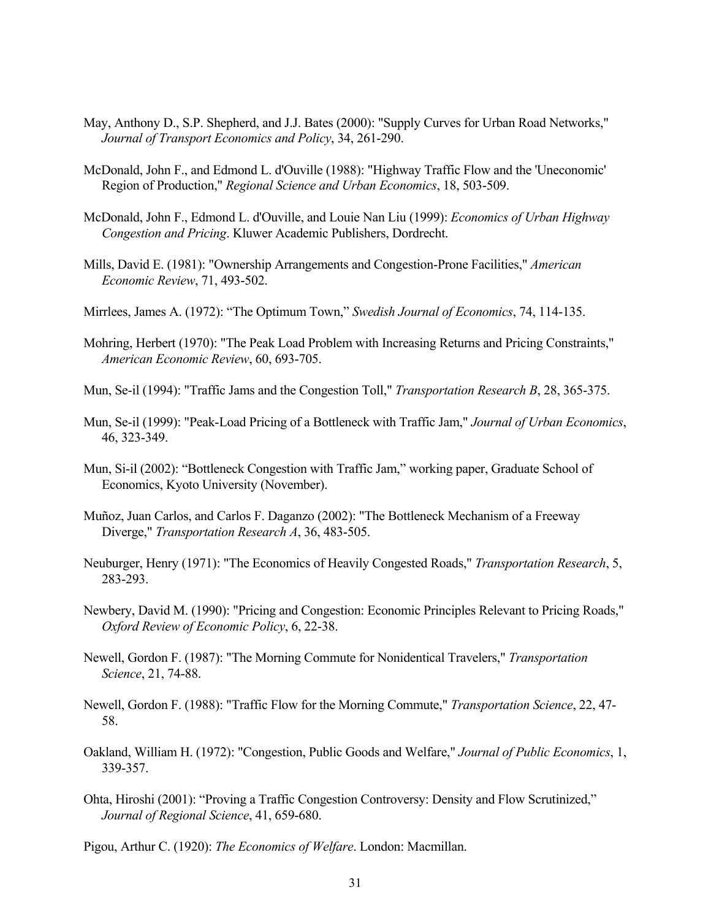- May, Anthony D., S.P. Shepherd, and J.J. Bates (2000): "Supply Curves for Urban Road Networks," *Journal of Transport Economics and Policy*, 34, 261-290.
- McDonald, John F., and Edmond L. d'Ouville (1988): "Highway Traffic Flow and the 'Uneconomic' Region of Production," *Regional Science and Urban Economics*, 18, 503-509.
- McDonald, John F., Edmond L. d'Ouville, and Louie Nan Liu (1999): *Economics of Urban Highway Congestion and Pricing*. Kluwer Academic Publishers, Dordrecht.
- Mills, David E. (1981): "Ownership Arrangements and Congestion-Prone Facilities," *American Economic Review*, 71, 493-502.
- Mirrlees, James A. (1972): "The Optimum Town," *Swedish Journal of Economics*, 74, 114-135.
- Mohring, Herbert (1970): "The Peak Load Problem with Increasing Returns and Pricing Constraints," *American Economic Review*, 60, 693-705.
- Mun, Se-il (1994): "Traffic Jams and the Congestion Toll," *Transportation Research B*, 28, 365-375.
- Mun, Se-il (1999): "Peak-Load Pricing of a Bottleneck with Traffic Jam," *Journal of Urban Economics*, 46, 323-349.
- Mun, Si-il (2002): "Bottleneck Congestion with Traffic Jam," working paper, Graduate School of Economics, Kyoto University (November).
- Muñoz, Juan Carlos, and Carlos F. Daganzo (2002): "The Bottleneck Mechanism of a Freeway Diverge," *Transportation Research A*, 36, 483-505.
- Neuburger, Henry (1971): "The Economics of Heavily Congested Roads," *Transportation Research*, 5, 283-293.
- Newbery, David M. (1990): "Pricing and Congestion: Economic Principles Relevant to Pricing Roads," *Oxford Review of Economic Policy*, 6, 22-38.
- Newell, Gordon F. (1987): "The Morning Commute for Nonidentical Travelers," *Transportation Science*, 21, 74-88.
- Newell, Gordon F. (1988): "Traffic Flow for the Morning Commute," *Transportation Science*, 22, 47- 58.
- Oakland, William H. (1972): "Congestion, Public Goods and Welfare," *Journal of Public Economics*, 1, 339-357.
- Ohta, Hiroshi (2001): "Proving a Traffic Congestion Controversy: Density and Flow Scrutinized," *Journal of Regional Science*, 41, 659-680.
- Pigou, Arthur C. (1920): *The Economics of Welfare*. London: Macmillan.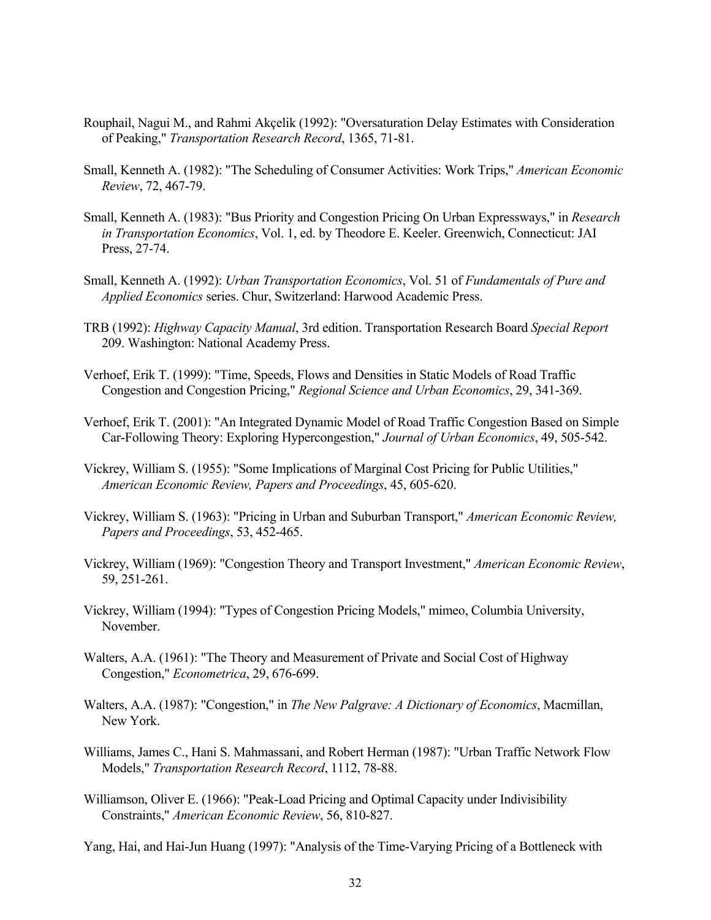- Rouphail, Nagui M., and Rahmi Akçelik (1992): "Oversaturation Delay Estimates with Consideration of Peaking," *Transportation Research Record*, 1365, 71-81.
- Small, Kenneth A. (1982): "The Scheduling of Consumer Activities: Work Trips," *American Economic Review*, 72, 467-79.
- Small, Kenneth A. (1983): "Bus Priority and Congestion Pricing On Urban Expressways," in *Research in Transportation Economics*, Vol. 1, ed. by Theodore E. Keeler. Greenwich, Connecticut: JAI Press, 27-74.
- Small, Kenneth A. (1992): *Urban Transportation Economics*, Vol. 51 of *Fundamentals of Pure and Applied Economics* series. Chur, Switzerland: Harwood Academic Press.
- TRB (1992): *Highway Capacity Manual*, 3rd edition. Transportation Research Board *Special Report*  209. Washington: National Academy Press.
- Verhoef, Erik T. (1999): "Time, Speeds, Flows and Densities in Static Models of Road Traffic Congestion and Congestion Pricing," *Regional Science and Urban Economics*, 29, 341-369.
- Verhoef, Erik T. (2001): "An Integrated Dynamic Model of Road Traffic Congestion Based on Simple Car-Following Theory: Exploring Hypercongestion," *Journal of Urban Economics*, 49, 505-542.
- Vickrey, William S. (1955): "Some Implications of Marginal Cost Pricing for Public Utilities," *American Economic Review, Papers and Proceedings*, 45, 605-620.
- Vickrey, William S. (1963): "Pricing in Urban and Suburban Transport," *American Economic Review, Papers and Proceedings*, 53, 452-465.
- Vickrey, William (1969): "Congestion Theory and Transport Investment," *American Economic Review*, 59, 251-261.
- Vickrey, William (1994): "Types of Congestion Pricing Models," mimeo, Columbia University, November.
- Walters, A.A. (1961): "The Theory and Measurement of Private and Social Cost of Highway Congestion," *Econometrica*, 29, 676-699.
- Walters, A.A. (1987): "Congestion," in *The New Palgrave: A Dictionary of Economics*, Macmillan, New York.
- Williams, James C., Hani S. Mahmassani, and Robert Herman (1987): "Urban Traffic Network Flow Models," *Transportation Research Record*, 1112, 78-88.
- Williamson, Oliver E. (1966): "Peak-Load Pricing and Optimal Capacity under Indivisibility Constraints," *American Economic Review*, 56, 810-827.
- Yang, Hai, and Hai-Jun Huang (1997): "Analysis of the Time-Varying Pricing of a Bottleneck with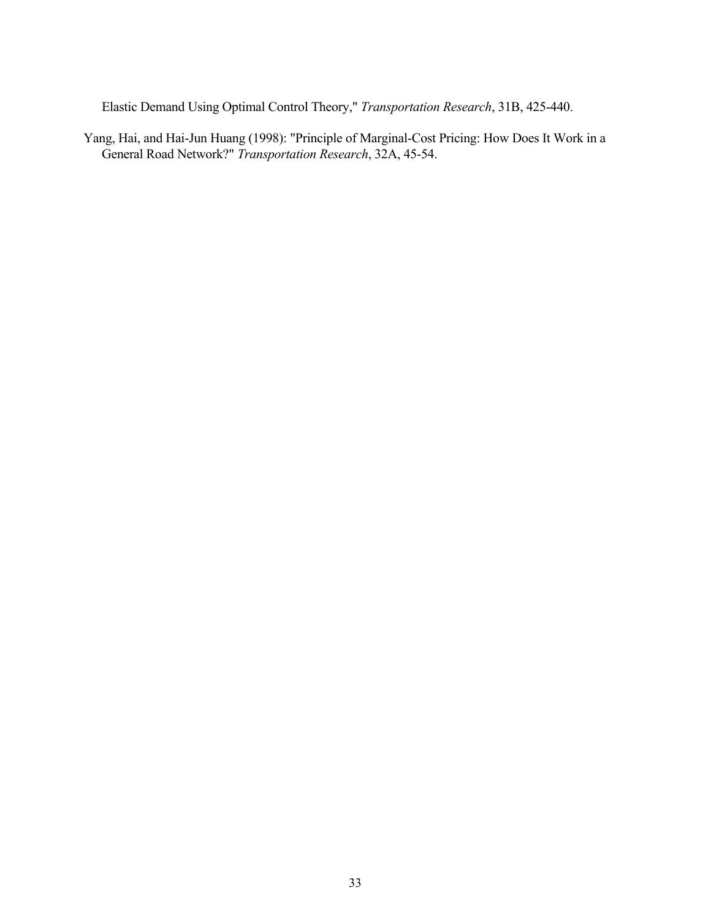Elastic Demand Using Optimal Control Theory," *Transportation Research*, 31B, 425-440.

Yang, Hai, and Hai-Jun Huang (1998): "Principle of Marginal-Cost Pricing: How Does It Work in a General Road Network?" *Transportation Research*, 32A, 45-54.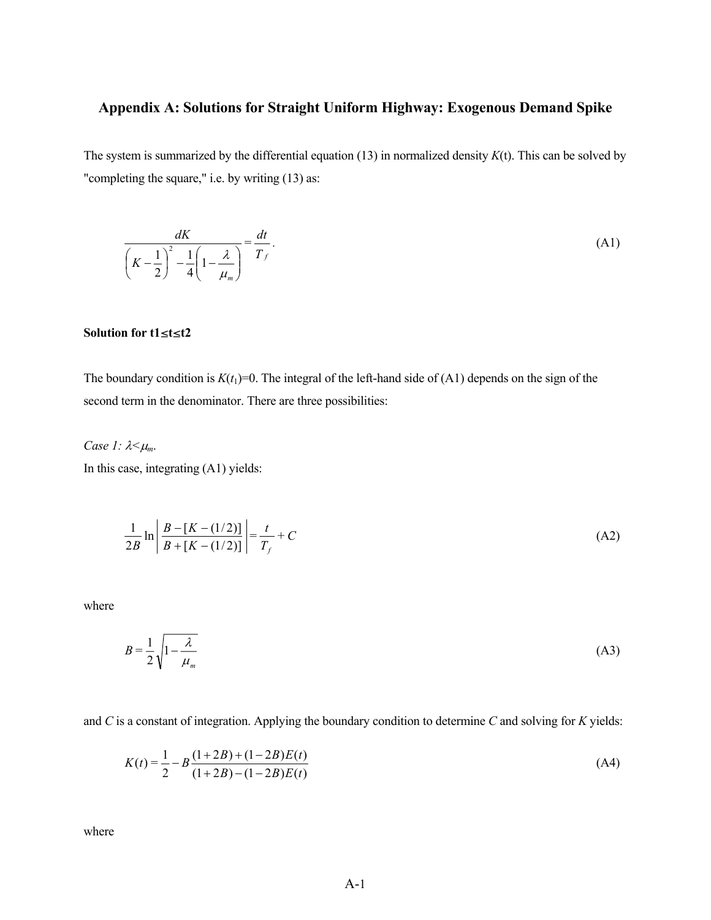# **Appendix A: Solutions for Straight Uniform Highway: Exogenous Demand Spike**

The system is summarized by the differential equation (13) in normalized density *K*(t). This can be solved by "completing the square," i.e. by writing (13) as:

$$
\frac{dK}{\left(K-\frac{1}{2}\right)^2-\frac{1}{4}\left(1-\frac{\lambda}{\mu_m}\right)}=\frac{dt}{T_f}.
$$
\n(A1)

# **Solution for t1**§**t**§**t2**

The boundary condition is  $K(t_1)=0$ . The integral of the left-hand side of (A1) depends on the sign of the second term in the denominator. There are three possibilities:

*Case 1:* λ*<*<sup>µ</sup>*m*.

In this case, integrating (A1) yields:

$$
\frac{1}{2B} \ln \left| \frac{B - [K - (1/2)]}{B + [K - (1/2)]} \right| = \frac{t}{T_f} + C
$$
\n(A2)

where

$$
B = \frac{1}{2} \sqrt{1 - \frac{\lambda}{\mu_m}}
$$
 (A3)

and *C* is a constant of integration. Applying the boundary condition to determine *C* and solving for *K* yields:

$$
K(t) = \frac{1}{2} - B \frac{(1+2B) + (1-2B)E(t)}{(1+2B) - (1-2B)E(t)}
$$
(A4)

where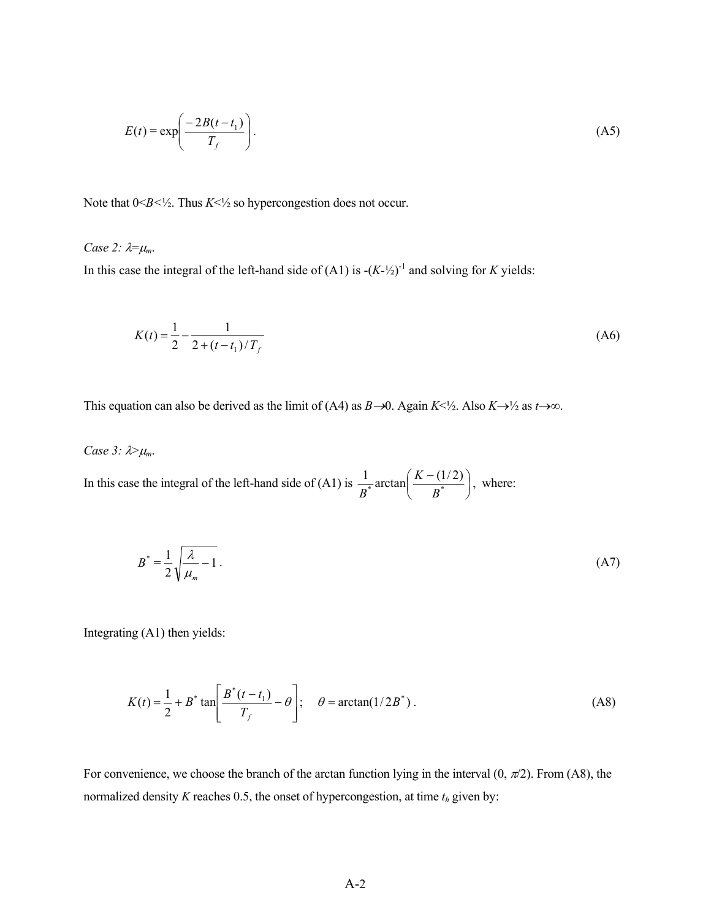$$
E(t) = \exp\left(\frac{-2B(t - t_1)}{T_f}\right). \tag{A5}
$$

Note that  $0 \leq B \leq \frac{1}{2}$ . Thus  $K \leq \frac{1}{2}$  so hypercongestion does not occur.

*Case 2:*  $\lambda = \mu_m$ .

In this case the integral of the left-hand side of  $(A1)$  is  $-(K<sup>-1/2</sup>)<sup>-1</sup>$  and solving for *K* yields:

$$
K(t) = \frac{1}{2} - \frac{1}{2 + (t - t_1)/T_f}
$$
 (A6)

This equation can also be derived as the limit of (A4) as *B*→0. Again  $K \leq \frac{1}{2}$ . Also  $K \rightarrow \frac{1}{2}$  as  $t \rightarrow \infty$ .

*Case 3:* λ><sup>µ</sup>*m*.

In this case the integral of the left-hand side of (A1) is  $\frac{1}{n^*}$  arctan  $\frac{K}{n^*}$ J  $\left(\frac{K-(1/2)}{R^*}\right)$ L ( K –  $\frac{1}{p^*}$ arctan $\left(\frac{K-(1/2)}{p^*}\right)$ *B*  $\frac{1}{B^*}$  arctan $\left(\frac{K-(1/2)}{B^*}\right)$ , where:

$$
B^* = \frac{1}{2} \sqrt{\frac{\lambda}{\mu_m} - 1} \tag{A7}
$$

Integrating (A1) then yields:

$$
K(t) = \frac{1}{2} + B^* \tan\left[\frac{B^*(t - t_1)}{T_f} - \theta\right]; \quad \theta = \arctan(1/2B^*).
$$
 (A8)

For convenience, we choose the branch of the arctan function lying in the interval  $(0, \pi/2)$ . From (A8), the normalized density  $K$  reaches 0.5, the onset of hypercongestion, at time  $t_h$  given by: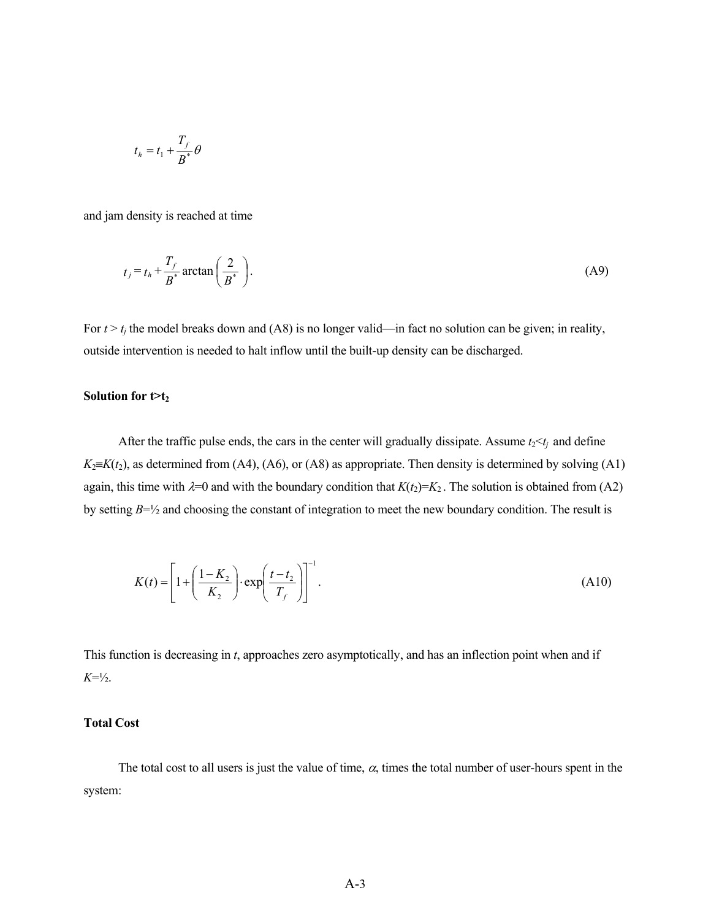$$
t_h = t_1 + \frac{T_f}{B^*} \theta
$$

and jam density is reached at time

$$
t_j = t_h + \frac{T_f}{B^*} \arctan\left(\frac{2}{B^*}\right). \tag{A9}
$$

For  $t > t_j$  the model breaks down and (A8) is no longer valid—in fact no solution can be given; in reality, outside intervention is needed to halt inflow until the built-up density can be discharged.

#### Solution for  $t>t_2$

After the traffic pulse ends, the cars in the center will gradually dissipate. Assume  $t_2 < t_i$  and define  $K_2=K(t_2)$ , as determined from (A4), (A6), or (A8) as appropriate. Then density is determined by solving (A1) again, this time with  $\lambda=0$  and with the boundary condition that  $K(t_2)=K_2$ . The solution is obtained from (A2) by setting *B*=½ and choosing the constant of integration to meet the new boundary condition. The result is

$$
K(t) = \left[1 + \left(\frac{1 - K_2}{K_2}\right) \cdot \exp\left(\frac{t - t_2}{T_f}\right)\right]^{-1}.\tag{A10}
$$

This function is decreasing in *t*, approaches zero asymptotically, and has an inflection point when and if *K*=½.

### **Total Cost**

The total cost to all users is just the value of time,  $\alpha$ , times the total number of user-hours spent in the system: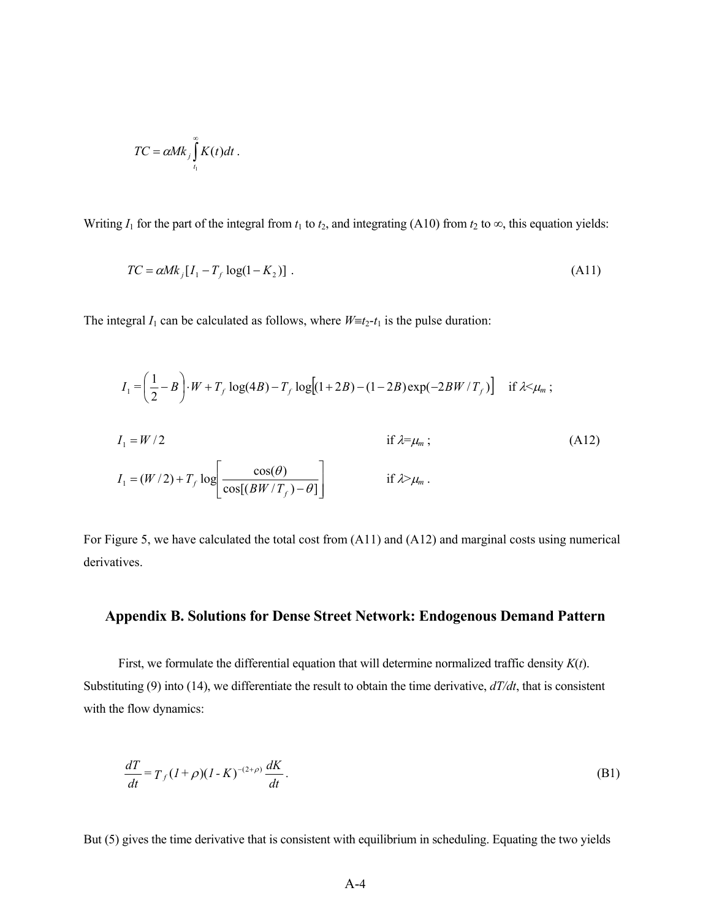$$
TC = \alpha M k_j \int_{t_1}^{\infty} K(t) dt.
$$

Writing  $I_1$  for the part of the integral from  $t_1$  to  $t_2$ , and integrating (A10) from  $t_2$  to  $\infty$ , this equation yields:

$$
TC = \alpha M k_j [I_1 - T_f \log(1 - K_2)] \tag{A11}
$$

The integral  $I_1$  can be calculated as follows, where  $W \equiv t_2 - t_1$  is the pulse duration:

$$
I_1 = \left(\frac{1}{2} - B\right) \cdot W + T_f \log(4B) - T_f \log\left[(1 + 2B) - (1 - 2B)\exp(-2BW/T_f)\right] \quad \text{if } \lambda \le \mu_m ;
$$
\n
$$
I_1 = W/2 \qquad \qquad \text{if } \lambda = \mu_m ;
$$
\n
$$
I_1 = (W/2) + T_f \log\left[\frac{\cos(\theta)}{\cos\left[(BW/T_f) - \theta\right]}\right] \qquad \qquad \text{if } \lambda > \mu_m .
$$
\n(A12)

For Figure 5, we have calculated the total cost from (A11) and (A12) and marginal costs using numerical derivatives.

# **Appendix B. Solutions for Dense Street Network: Endogenous Demand Pattern**

 First, we formulate the differential equation that will determine normalized traffic density *K*(*t*). Substituting (9) into (14), we differentiate the result to obtain the time derivative, *dT/dt*, that is consistent with the flow dynamics:

$$
\frac{dT}{dt} = T_f (I + \rho)(I - K)^{-(2+\rho)} \frac{dK}{dt}.
$$
\n(B1)

But (5) gives the time derivative that is consistent with equilibrium in scheduling. Equating the two yields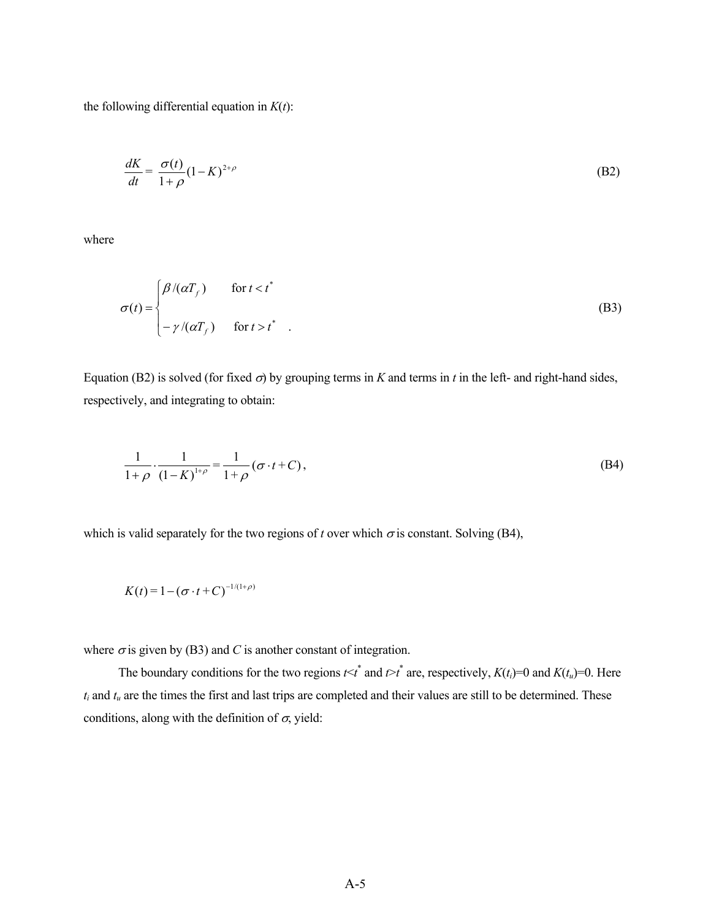the following differential equation in  $K(t)$ :

$$
\frac{dK}{dt} = \frac{\sigma(t)}{1+\rho} (1-K)^{2+\rho} \tag{B2}
$$

where

$$
\sigma(t) = \begin{cases} \beta/(\alpha T_f) & \text{for } t < t^* \\ -\gamma/(\alpha T_f) & \text{for } t > t^* \end{cases}
$$
 (B3)

Equation (B2) is solved (for fixed  $\sigma$ ) by grouping terms in *K* and terms in *t* in the left- and right-hand sides, respectively, and integrating to obtain:

$$
\frac{1}{1+\rho} \cdot \frac{1}{(1-K)^{1+\rho}} = \frac{1}{1+\rho} (\sigma \cdot t + C),
$$
\n(B4)

which is valid separately for the two regions of *t* over which  $\sigma$  is constant. Solving (B4),

$$
K(t) = 1 - (\sigma \cdot t + C)^{-1/(1+\rho)}
$$

where  $\sigma$  is given by (B3) and *C* is another constant of integration.

The boundary conditions for the two regions  $t < t^*$  and  $t > t^*$  are, respectively,  $K(t_i)=0$  and  $K(t_i)=0$ . Here  $t_i$  and  $t_u$  are the times the first and last trips are completed and their values are still to be determined. These conditions, along with the definition of  $\sigma$ , yield: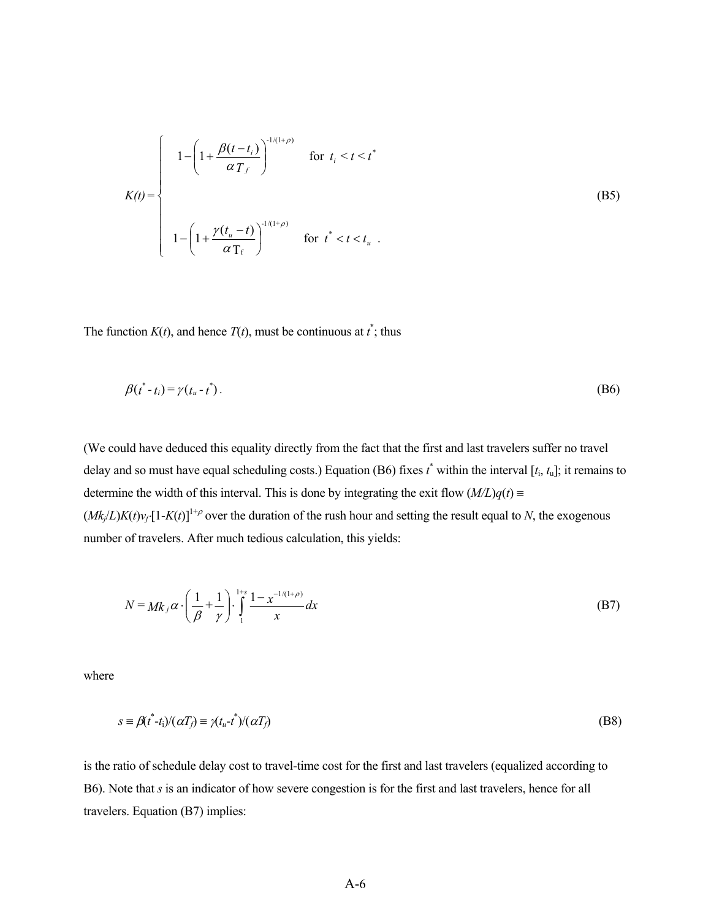$$
K(t) = \begin{cases} 1 - \left(1 + \frac{\beta(t - t_i)}{\alpha T_f}\right)^{1/(1+\rho)} & \text{for } t_i < t < t^* \\ 1 - \left(1 + \frac{\gamma(t_u - t)}{\alpha T_f}\right)^{1/(1+\rho)} & \text{for } t^* < t < t_u. \end{cases}
$$
 (B5)

The function  $K(t)$ , and hence  $T(t)$ , must be continuous at  $t^*$ ; thus

$$
\beta(t^* - t_i) = \gamma(t_u - t^*). \tag{B6}
$$

(We could have deduced this equality directly from the fact that the first and last travelers suffer no travel delay and so must have equal scheduling costs.) Equation (B6) fixes *t* \* within the interval [*t*i, *t*u]; it remains to determine the width of this interval. This is done by integrating the exit flow  $(M/L)q(t)$  $(Mk/L)K(t)v_f[1-K(t)]^{1+\rho}$  over the duration of the rush hour and setting the result equal to *N*, the exogenous number of travelers. After much tedious calculation, this yields:

$$
N = Mk_j \alpha \cdot \left(\frac{1}{\beta} + \frac{1}{\gamma}\right) \cdot \int_{1}^{1+s} \frac{1 - x^{-1/(1+\rho)}}{x} dx
$$
 (B7)

where

$$
s = \beta(t^* - t_i)/(\alpha T_f) \equiv \gamma(t_u - t^*)/(\alpha T_f) \tag{B8}
$$

is the ratio of schedule delay cost to travel-time cost for the first and last travelers (equalized according to B6). Note that *s* is an indicator of how severe congestion is for the first and last travelers, hence for all travelers. Equation (B7) implies: